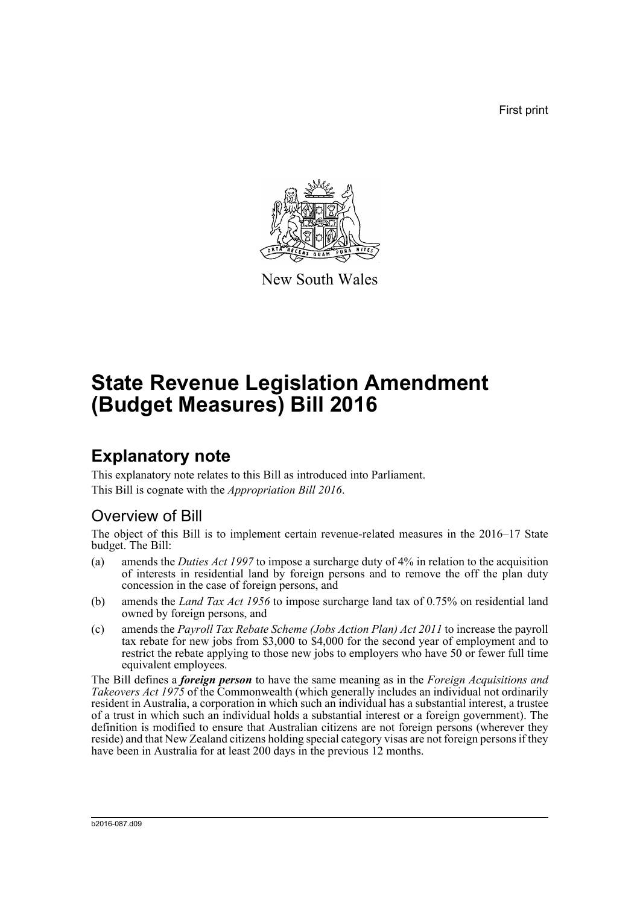First print



New South Wales

# **State Revenue Legislation Amendment (Budget Measures) Bill 2016**

# **Explanatory note**

This explanatory note relates to this Bill as introduced into Parliament. This Bill is cognate with the *Appropriation Bill 2016*.

## Overview of Bill

The object of this Bill is to implement certain revenue-related measures in the 2016–17 State budget. The Bill:

- (a) amends the *Duties Act 1997* to impose a surcharge duty of 4% in relation to the acquisition of interests in residential land by foreign persons and to remove the off the plan duty concession in the case of foreign persons, and
- (b) amends the *Land Tax Act 1956* to impose surcharge land tax of 0.75% on residential land owned by foreign persons, and
- (c) amends the *Payroll Tax Rebate Scheme (Jobs Action Plan) Act 2011* to increase the payroll tax rebate for new jobs from \$3,000 to \$4,000 for the second year of employment and to restrict the rebate applying to those new jobs to employers who have 50 or fewer full time equivalent employees.

The Bill defines a *foreign person* to have the same meaning as in the *Foreign Acquisitions and Takeovers Act 1975* of the Commonwealth (which generally includes an individual not ordinarily resident in Australia, a corporation in which such an individual has a substantial interest, a trustee of a trust in which such an individual holds a substantial interest or a foreign government). The definition is modified to ensure that Australian citizens are not foreign persons (wherever they reside) and that New Zealand citizens holding special category visas are not foreign persons if they have been in Australia for at least 200 days in the previous 12 months.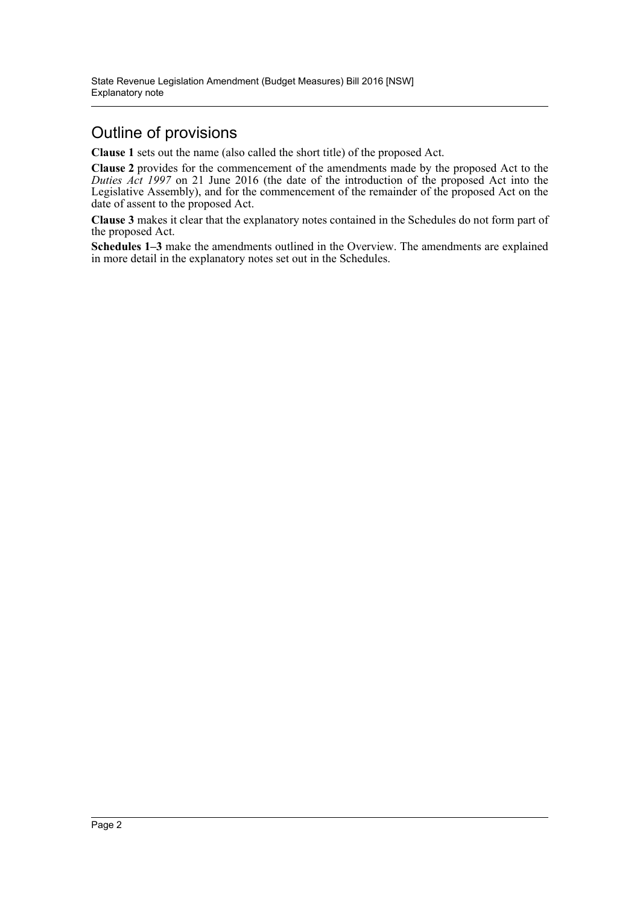# Outline of provisions

**Clause 1** sets out the name (also called the short title) of the proposed Act.

**Clause 2** provides for the commencement of the amendments made by the proposed Act to the *Duties Act 1997* on 21 June 2016 (the date of the introduction of the proposed Act into the Legislative Assembly), and for the commencement of the remainder of the proposed Act on the date of assent to the proposed Act.

**Clause 3** makes it clear that the explanatory notes contained in the Schedules do not form part of the proposed Act.

**Schedules 1–3** make the amendments outlined in the Overview. The amendments are explained in more detail in the explanatory notes set out in the Schedules.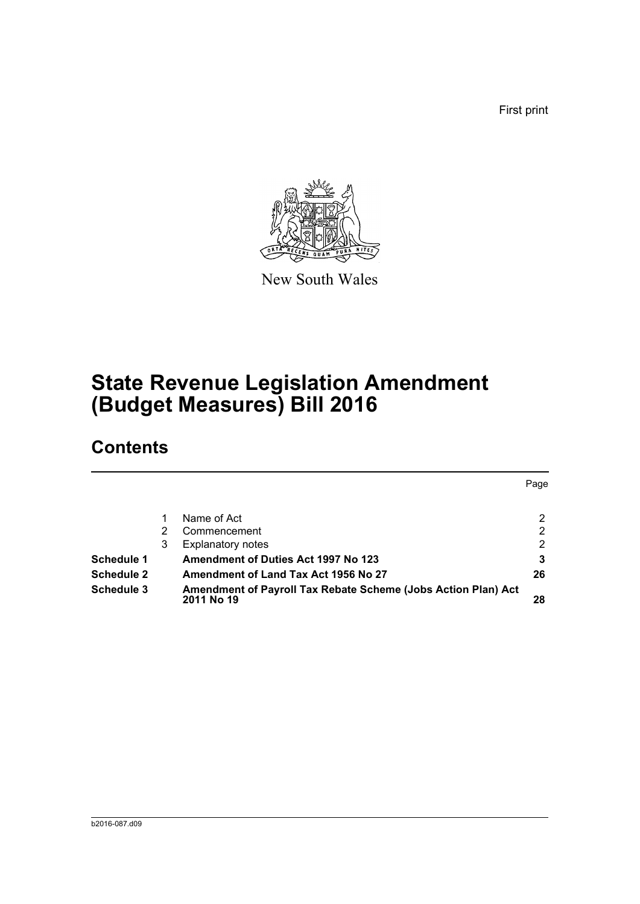First print



New South Wales

# **State Revenue Legislation Amendment (Budget Measures) Bill 2016**

# **Contents**

|                   |   |                                                                             | Page           |
|-------------------|---|-----------------------------------------------------------------------------|----------------|
|                   |   | Name of Act                                                                 | 2              |
|                   |   | Commencement                                                                | $\overline{2}$ |
|                   | 3 | Explanatory notes                                                           | 2              |
| <b>Schedule 1</b> |   | <b>Amendment of Duties Act 1997 No 123</b>                                  | 3              |
| <b>Schedule 2</b> |   | Amendment of Land Tax Act 1956 No 27                                        | 26             |
| <b>Schedule 3</b> |   | Amendment of Payroll Tax Rebate Scheme (Jobs Action Plan) Act<br>2011 No 19 | 28             |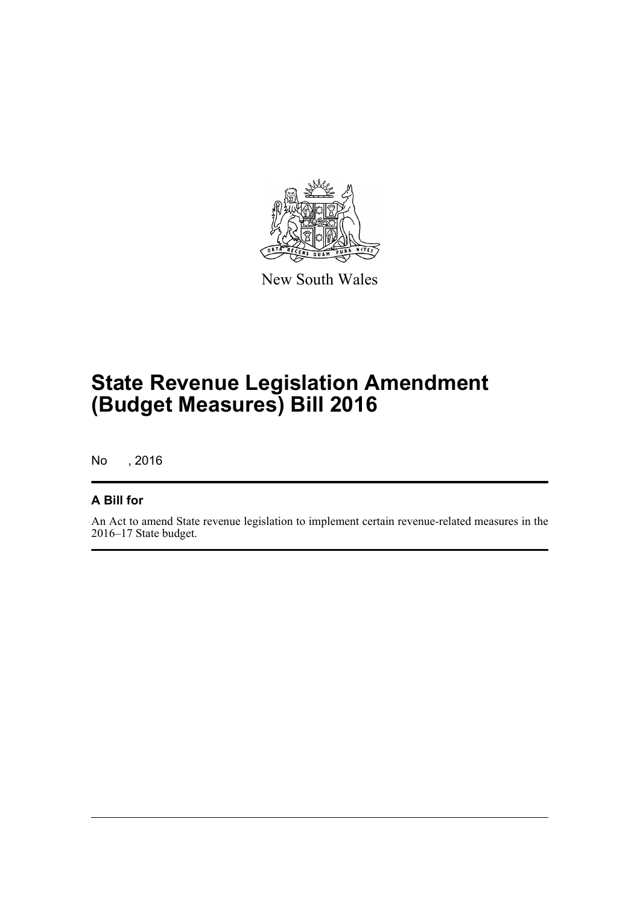

New South Wales

# **State Revenue Legislation Amendment (Budget Measures) Bill 2016**

No , 2016

### **A Bill for**

An Act to amend State revenue legislation to implement certain revenue-related measures in the 2016–17 State budget.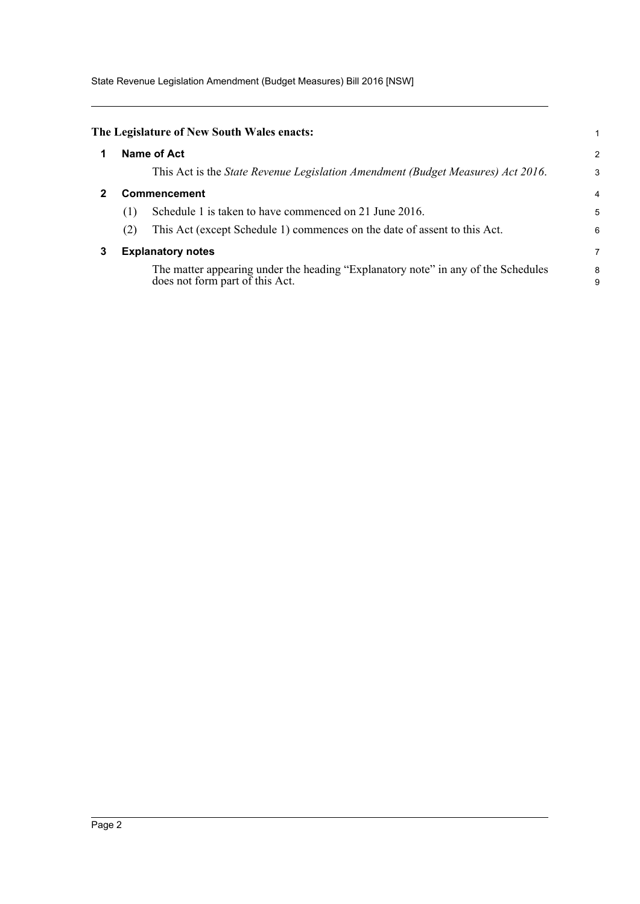State Revenue Legislation Amendment (Budget Measures) Bill 2016 [NSW]

<span id="page-4-2"></span><span id="page-4-1"></span><span id="page-4-0"></span>

|   |     | The Legislature of New South Wales enacts:                                                                           |        |
|---|-----|----------------------------------------------------------------------------------------------------------------------|--------|
|   |     | Name of Act                                                                                                          | 2      |
|   |     | This Act is the <i>State Revenue Legislation Amendment (Budget Measures) Act 2016</i> .                              | 3      |
|   |     | Commencement                                                                                                         | 4      |
|   | (1) | Schedule 1 is taken to have commenced on 21 June 2016.                                                               | 5      |
|   | (2) | This Act (except Schedule 1) commences on the date of assent to this Act.                                            | 6      |
| 3 |     | <b>Explanatory notes</b>                                                                                             | 7      |
|   |     | The matter appearing under the heading "Explanatory note" in any of the Schedules<br>does not form part of this Act. | 8<br>9 |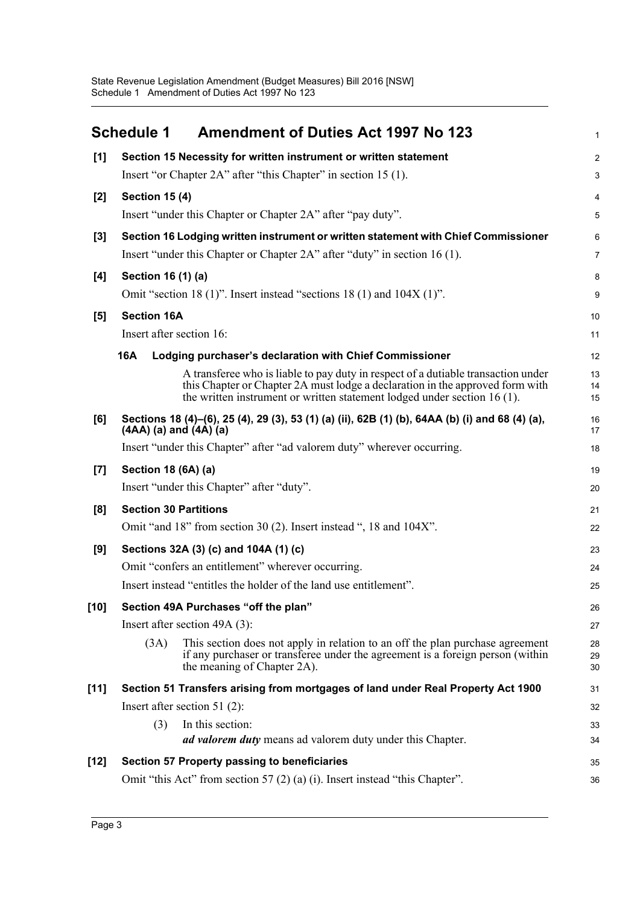<span id="page-5-0"></span>

|        | <b>Schedule 1</b>        | <b>Amendment of Duties Act 1997 No 123</b>                                                                                                                                                                                                     | 1              |
|--------|--------------------------|------------------------------------------------------------------------------------------------------------------------------------------------------------------------------------------------------------------------------------------------|----------------|
| $[1]$  |                          | Section 15 Necessity for written instrument or written statement                                                                                                                                                                               | $\overline{a}$ |
|        |                          | Insert "or Chapter 2A" after "this Chapter" in section 15 (1).                                                                                                                                                                                 | 3              |
| $[2]$  | <b>Section 15 (4)</b>    |                                                                                                                                                                                                                                                | 4              |
|        |                          | Insert "under this Chapter or Chapter 2A" after "pay duty".                                                                                                                                                                                    | 5              |
| $[3]$  |                          | Section 16 Lodging written instrument or written statement with Chief Commissioner                                                                                                                                                             | 6              |
|        |                          | Insert "under this Chapter or Chapter 2A" after "duty" in section 16 (1).                                                                                                                                                                      | 7              |
| $[4]$  | Section 16 (1) (a)       |                                                                                                                                                                                                                                                | 8              |
|        |                          | Omit "section 18 $(1)$ ". Insert instead "sections 18 $(1)$ and 104X $(1)$ ".                                                                                                                                                                  | 9              |
| [5]    | <b>Section 16A</b>       |                                                                                                                                                                                                                                                | 10             |
|        | Insert after section 16: |                                                                                                                                                                                                                                                | 11             |
|        | <b>16A</b>               | Lodging purchaser's declaration with Chief Commissioner                                                                                                                                                                                        | 12             |
|        |                          | A transferee who is liable to pay duty in respect of a dutiable transaction under<br>this Chapter or Chapter 2A must lodge a declaration in the approved form with<br>the written instrument or written statement lodged under section 16 (1). | 13<br>14<br>15 |
| [6]    |                          | Sections 18 (4)–(6), 25 (4), 29 (3), 53 (1) (a) (ii), 62B (1) (b), 64AA (b) (i) and 68 (4) (a),<br>$(AAA)$ (a) and $(AA)$ (a)                                                                                                                  | 16<br>17       |
|        |                          | Insert "under this Chapter" after "ad valorem duty" wherever occurring.                                                                                                                                                                        | 18             |
| $[7]$  | Section 18 (6A) (a)      |                                                                                                                                                                                                                                                | 19             |
|        |                          | Insert "under this Chapter" after "duty".                                                                                                                                                                                                      | 20             |
| [8]    |                          | <b>Section 30 Partitions</b>                                                                                                                                                                                                                   | 21             |
|        |                          | Omit "and 18" from section 30 (2). Insert instead ", 18 and 104X".                                                                                                                                                                             | 22             |
| [9]    |                          | Sections 32A (3) (c) and 104A (1) (c)                                                                                                                                                                                                          | 23             |
|        |                          | Omit "confers an entitlement" wherever occurring.                                                                                                                                                                                              | 24             |
|        |                          | Insert instead "entitles the holder of the land use entitlement".                                                                                                                                                                              | 25             |
| [10]   |                          | Section 49A Purchases "off the plan"                                                                                                                                                                                                           | 26             |
|        |                          | Insert after section $49A(3)$ :                                                                                                                                                                                                                | 27             |
|        | (3A)                     | This section does not apply in relation to an off the plan purchase agreement<br>if any purchaser or transferee under the agreement is a foreign person (within<br>the meaning of Chapter 2A).                                                 | 28<br>29<br>30 |
| $[11]$ |                          | Section 51 Transfers arising from mortgages of land under Real Property Act 1900                                                                                                                                                               | 31             |
|        |                          | Insert after section 51 $(2)$ :                                                                                                                                                                                                                | 32             |
|        | (3)                      | In this section:                                                                                                                                                                                                                               | 33             |
|        |                          | <i>ad valorem duty</i> means ad valorem duty under this Chapter.                                                                                                                                                                               | 34             |
| $[12]$ |                          | Section 57 Property passing to beneficiaries                                                                                                                                                                                                   | 35             |
|        |                          | Omit "this Act" from section 57 (2) (a) (i). Insert instead "this Chapter".                                                                                                                                                                    | 36             |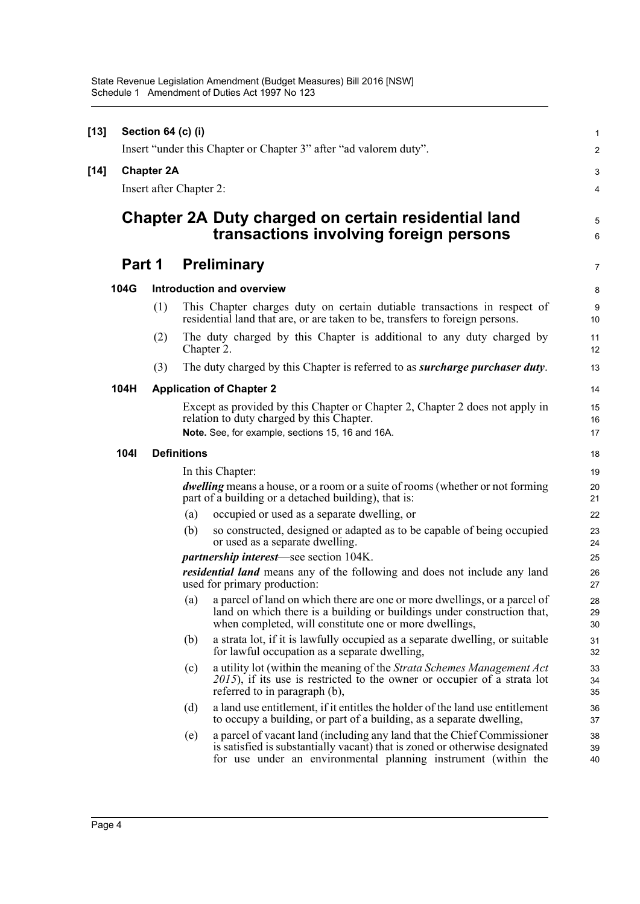| $[13]$ |                         | Section 64 (c) (i) |                    |                                                                                                                                                                                                                          | $\mathbf{1}$   |
|--------|-------------------------|--------------------|--------------------|--------------------------------------------------------------------------------------------------------------------------------------------------------------------------------------------------------------------------|----------------|
|        |                         |                    |                    | Insert "under this Chapter or Chapter 3" after "ad valorem duty".                                                                                                                                                        | $\overline{2}$ |
| $[14]$ |                         | <b>Chapter 2A</b>  |                    |                                                                                                                                                                                                                          | 3              |
|        | Insert after Chapter 2: |                    |                    |                                                                                                                                                                                                                          |                |
|        |                         |                    |                    | Chapter 2A Duty charged on certain residential land<br>transactions involving foreign persons                                                                                                                            | 5<br>6         |
|        | Part 1                  |                    |                    | <b>Preliminary</b>                                                                                                                                                                                                       | 7              |
|        | 104G                    |                    |                    | <b>Introduction and overview</b>                                                                                                                                                                                         | 8              |
|        |                         | (1)                |                    | This Chapter charges duty on certain dutiable transactions in respect of<br>residential land that are, or are taken to be, transfers to foreign persons.                                                                 | 9<br>10        |
|        |                         | (2)                |                    | The duty charged by this Chapter is additional to any duty charged by<br>Chapter 2.                                                                                                                                      | 11<br>12       |
|        |                         | (3)                |                    | The duty charged by this Chapter is referred to as <i>surcharge purchaser duty</i> .                                                                                                                                     | 13             |
|        | 104H                    |                    |                    | <b>Application of Chapter 2</b>                                                                                                                                                                                          | 14             |
|        |                         |                    |                    | Except as provided by this Chapter or Chapter 2, Chapter 2 does not apply in<br>relation to duty charged by this Chapter.<br>Note. See, for example, sections 15, 16 and 16A.                                            | 15<br>16<br>17 |
|        | <b>1041</b>             |                    | <b>Definitions</b> |                                                                                                                                                                                                                          | 18             |
|        |                         |                    |                    | In this Chapter:                                                                                                                                                                                                         | 19             |
|        |                         |                    |                    | <i>dwelling</i> means a house, or a room or a suite of rooms (whether or not forming<br>part of a building or a detached building), that is:                                                                             | 20<br>21       |
|        |                         |                    | (a)                | occupied or used as a separate dwelling, or                                                                                                                                                                              | 22             |
|        |                         |                    | (b)                | so constructed, designed or adapted as to be capable of being occupied<br>or used as a separate dwelling.                                                                                                                | 23<br>24       |
|        |                         |                    |                    | <i>partnership interest</i> —see section 104K.                                                                                                                                                                           | 25             |
|        |                         |                    |                    | <i>residential land</i> means any of the following and does not include any land<br>used for primary production:                                                                                                         | 26<br>27       |
|        |                         |                    | (a)                | a parcel of land on which there are one or more dwellings, or a parcel of<br>land on which there is a building or buildings under construction that,<br>when completed, will constitute one or more dwellings,           | 28<br>29<br>30 |
|        |                         |                    | (b)                | a strata lot, if it is lawfully occupied as a separate dwelling, or suitable<br>for lawful occupation as a separate dwelling,                                                                                            | 31<br>32       |
|        |                         |                    | (c)                | a utility lot (within the meaning of the <i>Strata Schemes Management Act</i><br>$2015$ ), if its use is restricted to the owner or occupier of a strata lot<br>referred to in paragraph (b),                            | 33<br>34<br>35 |
|        |                         |                    | (d)                | a land use entitlement, if it entitles the holder of the land use entitlement<br>to occupy a building, or part of a building, as a separate dwelling,                                                                    | 36<br>37       |
|        |                         |                    | (e)                | a parcel of vacant land (including any land that the Chief Commissioner<br>is satisfied is substantially vacant) that is zoned or otherwise designated<br>for use under an environmental planning instrument (within the | 38<br>39<br>40 |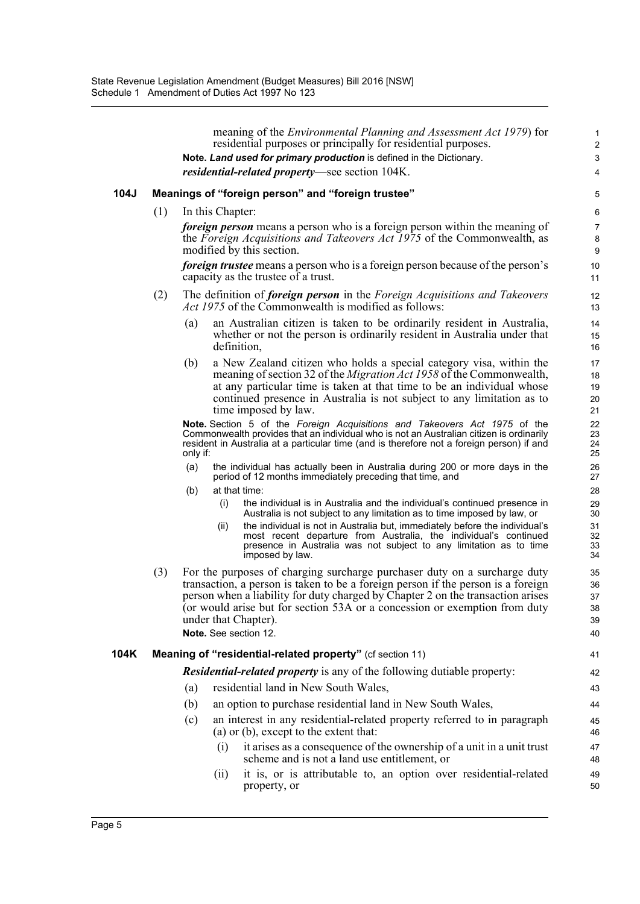|      |     |          |                  | meaning of the <i>Environmental Planning and Assessment Act 1979</i> ) for                                                                                                                                                                                                                                                                                                      | $\mathbf{1}$                     |
|------|-----|----------|------------------|---------------------------------------------------------------------------------------------------------------------------------------------------------------------------------------------------------------------------------------------------------------------------------------------------------------------------------------------------------------------------------|----------------------------------|
|      |     |          |                  | residential purposes or principally for residential purposes.<br>Note. Land used for primary production is defined in the Dictionary.                                                                                                                                                                                                                                           | $\overline{2}$<br>$\mathsf 3$    |
|      |     |          |                  | <i>residential-related property</i> —see section 104K.                                                                                                                                                                                                                                                                                                                          | 4                                |
| 104J |     |          |                  | Meanings of "foreign person" and "foreign trustee"                                                                                                                                                                                                                                                                                                                              |                                  |
|      |     |          |                  |                                                                                                                                                                                                                                                                                                                                                                                 | 5                                |
|      | (1) |          | In this Chapter: | <i>foreign person</i> means a person who is a foreign person within the meaning of                                                                                                                                                                                                                                                                                              | $\,6\,$                          |
|      |     |          |                  | the Foreign Acquisitions and Takeovers Act 1975 of the Commonwealth, as<br>modified by this section.                                                                                                                                                                                                                                                                            | $\overline{7}$<br>8<br>9         |
|      |     |          |                  | <i>foreign trustee</i> means a person who is a foreign person because of the person's<br>capacity as the trustee of a trust.                                                                                                                                                                                                                                                    | 10<br>11                         |
|      | (2) |          |                  | The definition of <i>foreign person</i> in the <i>Foreign Acquisitions and Takeovers</i><br><i>Act 1975</i> of the Commonwealth is modified as follows:                                                                                                                                                                                                                         | 12<br>13                         |
|      |     | (a)      |                  | an Australian citizen is taken to be ordinarily resident in Australia,<br>whether or not the person is ordinarily resident in Australia under that<br>definition,                                                                                                                                                                                                               | 14<br>15<br>16                   |
|      |     | (b)      |                  | a New Zealand citizen who holds a special category visa, within the<br>meaning of section 32 of the <i>Migration Act 1958</i> of the Commonwealth,<br>at any particular time is taken at that time to be an individual whose<br>continued presence in Australia is not subject to any limitation as to<br>time imposed by law.                                                  | 17<br>18<br>19<br>20<br>21       |
|      |     | only if: |                  | Note. Section 5 of the Foreign Acquisitions and Takeovers Act 1975 of the<br>Commonwealth provides that an individual who is not an Australian citizen is ordinarily<br>resident in Australia at a particular time (and is therefore not a foreign person) if and                                                                                                               | 22<br>23<br>24<br>25             |
|      |     | (a)      |                  | the individual has actually been in Australia during 200 or more days in the<br>period of 12 months immediately preceding that time, and                                                                                                                                                                                                                                        | 26<br>27                         |
|      |     | (b)      |                  | at that time:                                                                                                                                                                                                                                                                                                                                                                   | 28                               |
|      |     |          | (i)              | the individual is in Australia and the individual's continued presence in<br>Australia is not subject to any limitation as to time imposed by law, or                                                                                                                                                                                                                           | 29<br>30                         |
|      |     |          | (ii)             | the individual is not in Australia but, immediately before the individual's<br>most recent departure from Australia, the individual's continued<br>presence in Australia was not subject to any limitation as to time<br>imposed by law.                                                                                                                                        | 31<br>32<br>33<br>34             |
|      | (3) |          |                  | For the purposes of charging surcharge purchaser duty on a surcharge duty<br>transaction, a person is taken to be a foreign person if the person is a foreign<br>person when a liability for duty charged by Chapter 2 on the transaction arises<br>(or would arise but for section 53A or a concession or exemption from duty<br>under that Chapter).<br>Note. See section 12. | 35<br>36<br>37<br>38<br>39<br>40 |
| 104K |     |          |                  | Meaning of "residential-related property" (cf section 11)                                                                                                                                                                                                                                                                                                                       | 41                               |
|      |     |          |                  | <i>Residential-related property</i> is any of the following dutiable property:                                                                                                                                                                                                                                                                                                  | 42                               |
|      |     | (a)      |                  | residential land in New South Wales,                                                                                                                                                                                                                                                                                                                                            | 43                               |
|      |     | (b)      |                  | an option to purchase residential land in New South Wales,                                                                                                                                                                                                                                                                                                                      | 44                               |
|      |     | (c)      |                  | an interest in any residential-related property referred to in paragraph<br>(a) or (b), except to the extent that:                                                                                                                                                                                                                                                              | 45<br>46                         |
|      |     |          | (i)              | it arises as a consequence of the ownership of a unit in a unit trust<br>scheme and is not a land use entitlement, or                                                                                                                                                                                                                                                           | 47<br>48                         |
|      |     |          | (11)             | it is, or is attributable to, an option over residential-related<br>property, or                                                                                                                                                                                                                                                                                                | 49<br>50                         |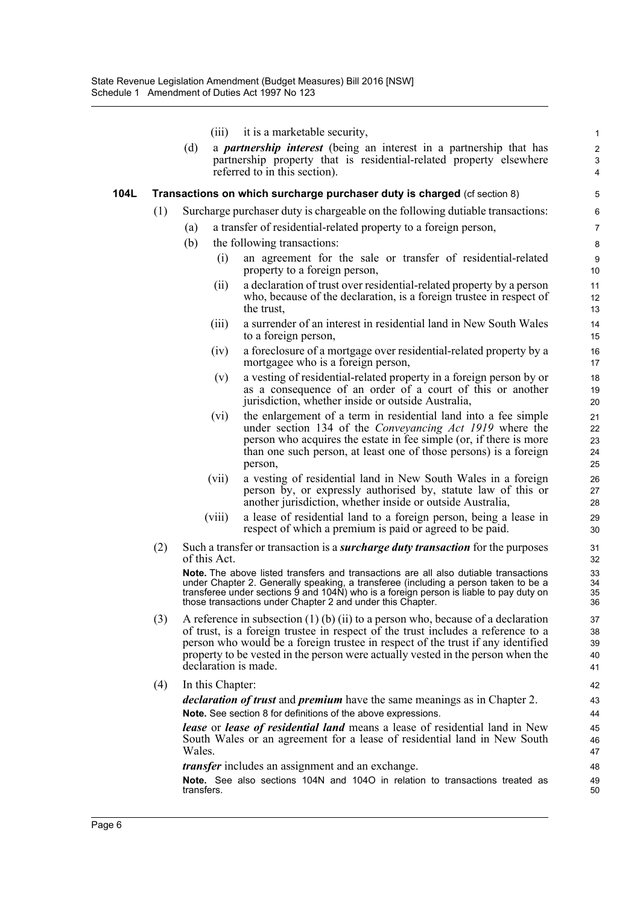|      |     | (iii)                | it is a marketable security,                                                                                                                                                                                                                                                                                                                   | $\mathbf{1}$                                     |
|------|-----|----------------------|------------------------------------------------------------------------------------------------------------------------------------------------------------------------------------------------------------------------------------------------------------------------------------------------------------------------------------------------|--------------------------------------------------|
|      |     | (d)                  | a <i>partnership interest</i> (being an interest in a partnership that has<br>partnership property that is residential-related property elsewhere<br>referred to in this section).                                                                                                                                                             | $\overline{2}$<br>$\ensuremath{\mathsf{3}}$<br>4 |
| 104L |     |                      | Transactions on which surcharge purchaser duty is charged (cf section 8)                                                                                                                                                                                                                                                                       | 5                                                |
|      | (1) |                      | Surcharge purchaser duty is chargeable on the following dutiable transactions:                                                                                                                                                                                                                                                                 | 6                                                |
|      |     | (a)                  | a transfer of residential-related property to a foreign person,                                                                                                                                                                                                                                                                                | 7                                                |
|      |     | (b)                  | the following transactions:                                                                                                                                                                                                                                                                                                                    | 8                                                |
|      |     | (i)                  | an agreement for the sale or transfer of residential-related                                                                                                                                                                                                                                                                                   |                                                  |
|      |     |                      | property to a foreign person,                                                                                                                                                                                                                                                                                                                  | 9<br>10                                          |
|      |     | (i)                  | a declaration of trust over residential-related property by a person<br>who, because of the declaration, is a foreign trustee in respect of<br>the trust,                                                                                                                                                                                      | 11<br>12<br>13                                   |
|      |     | (iii)                | a surrender of an interest in residential land in New South Wales<br>to a foreign person,                                                                                                                                                                                                                                                      | 14<br>15                                         |
|      |     | (iv)                 | a foreclosure of a mortgage over residential-related property by a<br>mortgagee who is a foreign person,                                                                                                                                                                                                                                       | 16<br>17                                         |
|      |     | (v)                  | a vesting of residential-related property in a foreign person by or<br>as a consequence of an order of a court of this or another<br>jurisdiction, whether inside or outside Australia,                                                                                                                                                        | 18<br>19<br>20                                   |
|      |     | (vi)                 | the enlargement of a term in residential land into a fee simple<br>under section 134 of the <i>Conveyancing Act 1919</i> where the<br>person who acquires the estate in fee simple (or, if there is more<br>than one such person, at least one of those persons) is a foreign<br>person,                                                       | 21<br>22<br>23<br>24<br>25                       |
|      |     | (vii)                | a vesting of residential land in New South Wales in a foreign<br>person by, or expressly authorised by, statute law of this or<br>another jurisdiction, whether inside or outside Australia,                                                                                                                                                   | 26<br>27<br>28                                   |
|      |     | (viii)               | a lease of residential land to a foreign person, being a lease in<br>respect of which a premium is paid or agreed to be paid.                                                                                                                                                                                                                  | 29<br>30                                         |
|      | (2) | of this Act.         | Such a transfer or transaction is a <b><i>surcharge duty transaction</i></b> for the purposes                                                                                                                                                                                                                                                  | 31<br>32                                         |
|      |     |                      | <b>Note.</b> The above listed transfers and transactions are all also dutiable transactions<br>under Chapter 2. Generally speaking, a transferee (including a person taken to be a<br>transferee under sections 9 and 104N) who is a foreign person is liable to pay duty on<br>those transactions under Chapter 2 and under this Chapter.     | 33<br>34<br>35<br>36                             |
|      | (3) | declaration is made. | A reference in subsection $(1)$ (b) $(ii)$ to a person who, because of a declaration<br>of trust, is a foreign trustee in respect of the trust includes a reference to a<br>person who would be a foreign trustee in respect of the trust if any identified<br>property to be vested in the person were actually vested in the person when the | 37<br>38<br>39<br>40<br>41                       |
|      | (4) | In this Chapter:     |                                                                                                                                                                                                                                                                                                                                                | 42                                               |
|      |     |                      | <i>declaration of trust</i> and <i>premium</i> have the same meanings as in Chapter 2.                                                                                                                                                                                                                                                         | 43                                               |
|      |     |                      | Note. See section 8 for definitions of the above expressions.                                                                                                                                                                                                                                                                                  | 44                                               |
|      |     | Wales.               | <b>lease</b> or <b>lease</b> of <b>residential land</b> means a lease of residential land in New<br>South Wales or an agreement for a lease of residential land in New South                                                                                                                                                                   | 45<br>46<br>47                                   |
|      |     |                      | <i>transfer</i> includes an assignment and an exchange.                                                                                                                                                                                                                                                                                        | 48                                               |
|      |     | transfers.           | Note. See also sections 104N and 104O in relation to transactions treated as                                                                                                                                                                                                                                                                   | 49<br>50                                         |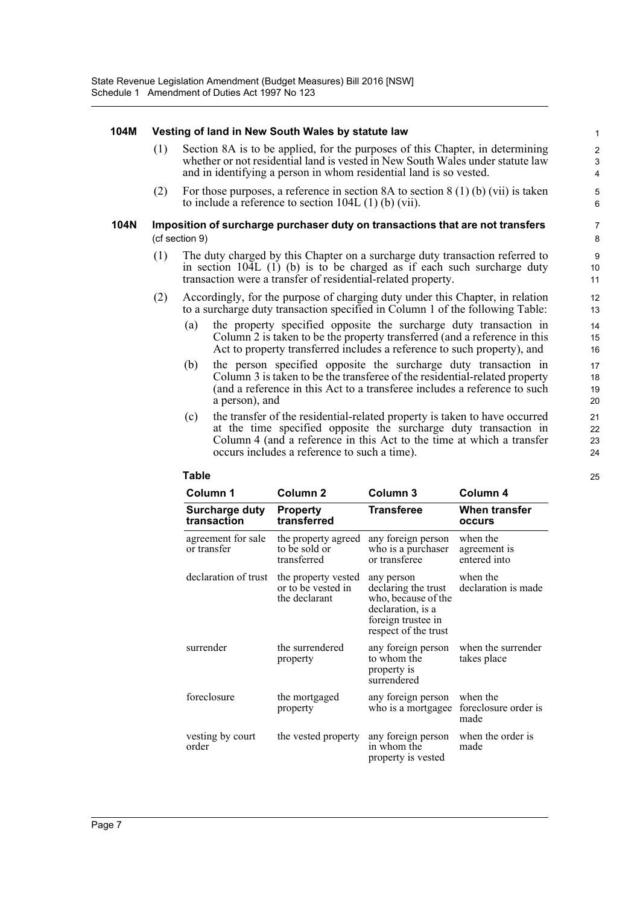#### **104M Vesting of land in New South Wales by statute law**

- (1) Section 8A is to be applied, for the purposes of this Chapter, in determining whether or not residential land is vested in New South Wales under statute law and in identifying a person in whom residential land is so vested.
- (2) For those purposes, a reference in section 8A to section 8 (1) (b) (vii) is taken to include a reference to section 104L (1) (b) (vii).

#### **104N Imposition of surcharge purchaser duty on transactions that are not transfers**  (cf section 9)

- (1) The duty charged by this Chapter on a surcharge duty transaction referred to in section 104L (1) (b) is to be charged as if each such surcharge duty transaction were a transfer of residential-related property.
- (2) Accordingly, for the purpose of charging duty under this Chapter, in relation to a surcharge duty transaction specified in Column 1 of the following Table:
	- (a) the property specified opposite the surcharge duty transaction in Column 2 is taken to be the property transferred (and a reference in this Act to property transferred includes a reference to such property), and
	- (b) the person specified opposite the surcharge duty transaction in Column 3 is taken to be the transferee of the residential-related property (and a reference in this Act to a transferee includes a reference to such a person), and
	- (c) the transfer of the residential-related property is taken to have occurred at the time specified opposite the surcharge duty transaction in Column 4 (and a reference in this Act to the time at which a transfer occurs includes a reference to such a time).

| Column 1                             | Column <sub>2</sub>                                        | Column 3                                                                                                                    | Column 4                                 |
|--------------------------------------|------------------------------------------------------------|-----------------------------------------------------------------------------------------------------------------------------|------------------------------------------|
| <b>Surcharge duty</b><br>transaction | <b>Property</b><br>transferred                             | <b>Transferee</b>                                                                                                           | When transfer<br>occurs                  |
| agreement for sale<br>or transfer    | the property agreed<br>to be sold or<br>transferred        | any foreign person<br>who is a purchaser<br>or transferee                                                                   | when the<br>agreement is<br>entered into |
| declaration of trust                 | the property vested<br>or to be vested in<br>the declarant | any person<br>declaring the trust<br>who, because of the<br>declaration, is a<br>foreign trustee in<br>respect of the trust | when the<br>declaration is made          |
| surrender                            | the surrendered<br>property                                | any foreign person<br>to whom the<br>property is<br>surrendered                                                             | when the surrender<br>takes place        |
| foreclosure                          | the mortgaged<br>property                                  | any foreign person<br>who is a mortgagee                                                                                    | when the<br>foreclosure order is<br>made |
| vesting by court<br>order            | the vested property                                        | any foreign person<br>in whom the<br>property is vested                                                                     | when the order is<br>made                |

### **Table**

23 24 25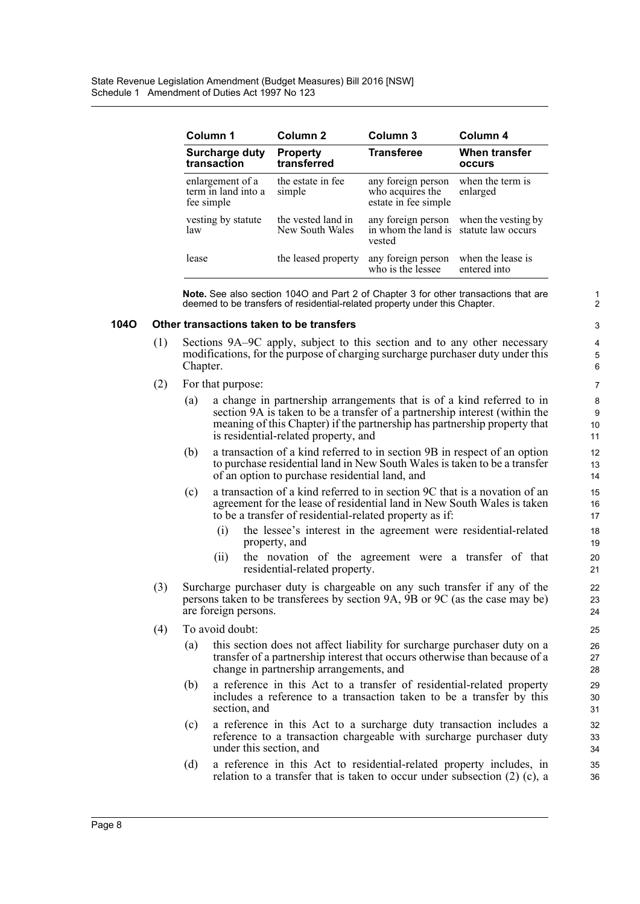| Column 1                                              | Column 2                              | Column 3                                                       | Column 4                                  |
|-------------------------------------------------------|---------------------------------------|----------------------------------------------------------------|-------------------------------------------|
| <b>Surcharge duty</b><br>transaction                  | <b>Property</b><br>transferred        | <b>Transferee</b>                                              | When transfer<br>occurs                   |
| enlargement of a<br>term in land into a<br>fee simple | the estate in fee<br>simple           | any foreign person<br>who acquires the<br>estate in fee simple | when the term is<br>enlarged              |
| vesting by statute<br>law                             | the vested land in<br>New South Wales | any foreign person<br>in whom the land is<br>vested            | when the vesting by<br>statute law occurs |
| lease                                                 | the leased property                   | any foreign person<br>who is the lessee                        | when the lease is<br>entered into         |

**Note.** See also section 104O and Part 2 of Chapter 3 for other transactions that are deemed to be transfers of residential-related property under this Chapter.

#### **104O Other transactions taken to be transfers**

- (1) Sections 9A–9C apply, subject to this section and to any other necessary modifications, for the purpose of charging surcharge purchaser duty under this Chapter.
- (2) For that purpose:
	- (a) a change in partnership arrangements that is of a kind referred to in section 9A is taken to be a transfer of a partnership interest (within the meaning of this Chapter) if the partnership has partnership property that is residential-related property, and
	- (b) a transaction of a kind referred to in section 9B in respect of an option to purchase residential land in New South Wales is taken to be a transfer of an option to purchase residential land, and
	- (c) a transaction of a kind referred to in section 9C that is a novation of an agreement for the lease of residential land in New South Wales is taken to be a transfer of residential-related property as if:
		- (i) the lessee's interest in the agreement were residential-related property, and
		- (ii) the novation of the agreement were a transfer of that residential-related property.
- (3) Surcharge purchaser duty is chargeable on any such transfer if any of the persons taken to be transferees by section 9A, 9B or 9C (as the case may be) are foreign persons.
- (4) To avoid doubt:
	- (a) this section does not affect liability for surcharge purchaser duty on a transfer of a partnership interest that occurs otherwise than because of a change in partnership arrangements, and
	- (b) a reference in this Act to a transfer of residential-related property includes a reference to a transaction taken to be a transfer by this section, and
	- (c) a reference in this Act to a surcharge duty transaction includes a reference to a transaction chargeable with surcharge purchaser duty under this section, and
	- (d) a reference in this Act to residential-related property includes, in relation to a transfer that is taken to occur under subsection (2) (c), a

34 35 36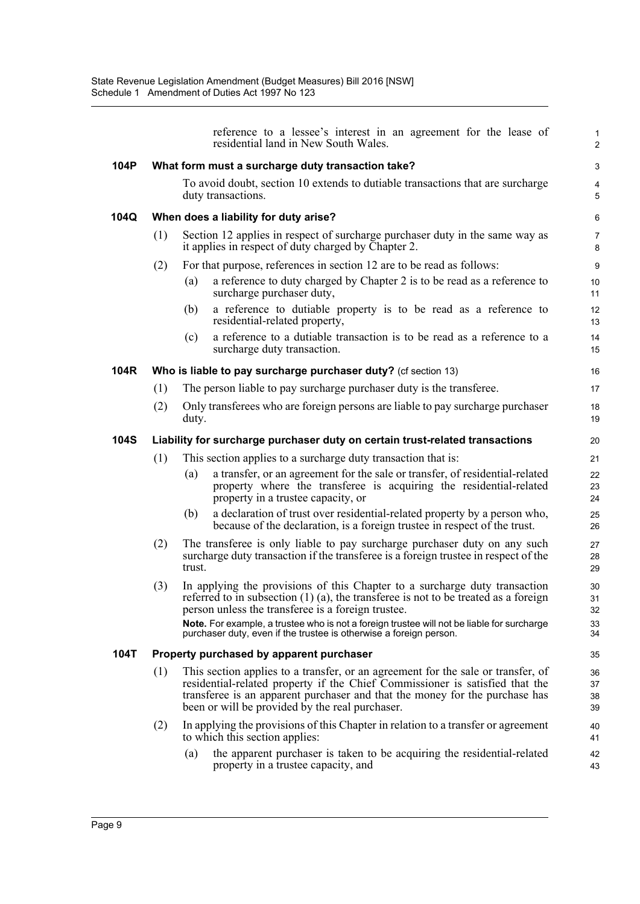|             |     |        | reference to a lessee's interest in an agreement for the lease of<br>residential land in New South Wales.                                                                                                                                                                                                                  | 1<br>2               |
|-------------|-----|--------|----------------------------------------------------------------------------------------------------------------------------------------------------------------------------------------------------------------------------------------------------------------------------------------------------------------------------|----------------------|
| 104P        |     |        | What form must a surcharge duty transaction take?                                                                                                                                                                                                                                                                          | 3                    |
|             |     |        | To avoid doubt, section 10 extends to dutiable transactions that are surcharge<br>duty transactions.                                                                                                                                                                                                                       | 4<br>5               |
| 104Q        |     |        | When does a liability for duty arise?                                                                                                                                                                                                                                                                                      | 6                    |
|             | (1) |        | Section 12 applies in respect of surcharge purchaser duty in the same way as<br>it applies in respect of duty charged by Chapter 2.                                                                                                                                                                                        | $\overline{7}$<br>8  |
|             | (2) |        | For that purpose, references in section 12 are to be read as follows:                                                                                                                                                                                                                                                      | $\boldsymbol{9}$     |
|             |     | (a)    | a reference to duty charged by Chapter 2 is to be read as a reference to<br>surcharge purchaser duty,                                                                                                                                                                                                                      | 10<br>11             |
|             |     | (b)    | a reference to dutiable property is to be read as a reference to<br>residential-related property,                                                                                                                                                                                                                          | 12<br>13             |
|             |     | (c)    | a reference to a dutiable transaction is to be read as a reference to a<br>surcharge duty transaction.                                                                                                                                                                                                                     | 14<br>15             |
| 104R        |     |        | Who is liable to pay surcharge purchaser duty? (cf section 13)                                                                                                                                                                                                                                                             | 16                   |
|             | (1) |        | The person liable to pay surcharge purchaser duty is the transferee.                                                                                                                                                                                                                                                       | 17                   |
|             | (2) | duty.  | Only transferees who are foreign persons are liable to pay surcharge purchaser                                                                                                                                                                                                                                             | 18<br>19             |
| <b>104S</b> |     |        | Liability for surcharge purchaser duty on certain trust-related transactions                                                                                                                                                                                                                                               | 20                   |
|             | (1) |        | This section applies to a surcharge duty transaction that is:                                                                                                                                                                                                                                                              | 21                   |
|             |     | (a)    | a transfer, or an agreement for the sale or transfer, of residential-related<br>property where the transferee is acquiring the residential-related<br>property in a trustee capacity, or                                                                                                                                   | 22<br>23<br>24       |
|             |     | (b)    | a declaration of trust over residential-related property by a person who,<br>because of the declaration, is a foreign trustee in respect of the trust.                                                                                                                                                                     | 25<br>26             |
|             | (2) | trust. | The transferee is only liable to pay surcharge purchaser duty on any such<br>surcharge duty transaction if the transferee is a foreign trustee in respect of the                                                                                                                                                           | 27<br>28<br>29       |
|             | (3) |        | In applying the provisions of this Chapter to a surcharge duty transaction<br>referred to in subsection $(1)$ $(a)$ , the transferee is not to be treated as a foreign<br>person unless the transferee is a foreign trustee.<br>Note. For example, a trustee who is not a foreign trustee will not be liable for surcharge | 30<br>31<br>32<br>33 |
|             |     |        | purchaser duty, even if the trustee is otherwise a foreign person.                                                                                                                                                                                                                                                         | 34                   |
| 104T        |     |        | Property purchased by apparent purchaser                                                                                                                                                                                                                                                                                   | 35                   |
|             | (1) |        | This section applies to a transfer, or an agreement for the sale or transfer, of<br>residential-related property if the Chief Commissioner is satisfied that the<br>transferee is an apparent purchaser and that the money for the purchase has<br>been or will be provided by the real purchaser.                         | 36<br>37<br>38<br>39 |
|             | (2) |        | In applying the provisions of this Chapter in relation to a transfer or agreement<br>to which this section applies:                                                                                                                                                                                                        | 40<br>41             |
|             |     | (a)    | the apparent purchaser is taken to be acquiring the residential-related<br>property in a trustee capacity, and                                                                                                                                                                                                             | 42<br>43             |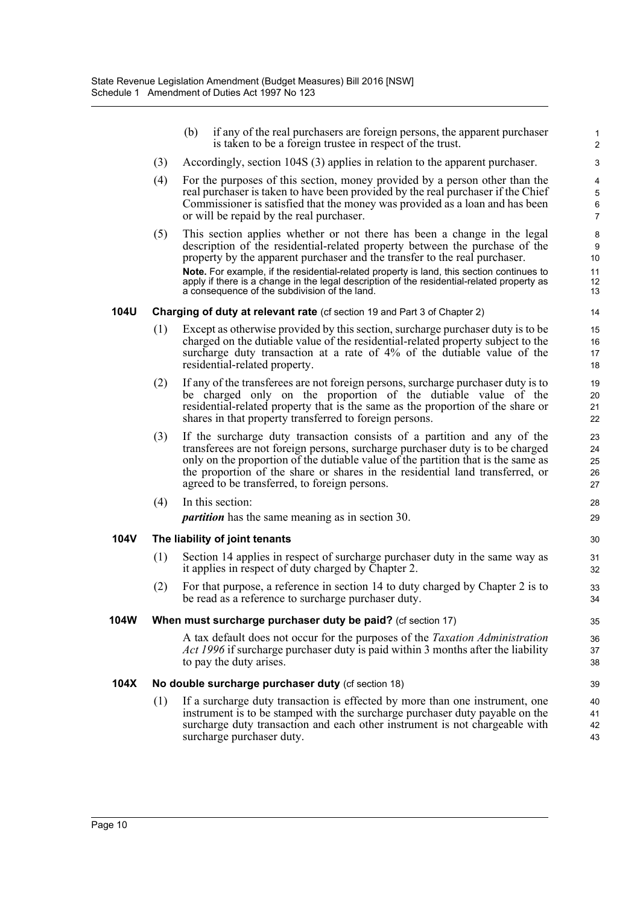|             |     | (b)                                                                                                                                                                                                                                                                                         | if any of the real purchasers are foreign persons, the apparent purchaser<br>is taken to be a foreign trustee in respect of the trust.                                                                                                                                                                                                                                                                                                                                            | $\mathbf{1}$<br>$\overline{2}$ |  |  |  |
|-------------|-----|---------------------------------------------------------------------------------------------------------------------------------------------------------------------------------------------------------------------------------------------------------------------------------------------|-----------------------------------------------------------------------------------------------------------------------------------------------------------------------------------------------------------------------------------------------------------------------------------------------------------------------------------------------------------------------------------------------------------------------------------------------------------------------------------|--------------------------------|--|--|--|
|             | (3) |                                                                                                                                                                                                                                                                                             | Accordingly, section 104S (3) applies in relation to the apparent purchaser.                                                                                                                                                                                                                                                                                                                                                                                                      | 3                              |  |  |  |
|             | (4) | For the purposes of this section, money provided by a person other than the<br>real purchaser is taken to have been provided by the real purchaser if the Chief<br>Commissioner is satisfied that the money was provided as a loan and has been<br>or will be repaid by the real purchaser. |                                                                                                                                                                                                                                                                                                                                                                                                                                                                                   |                                |  |  |  |
|             | (5) |                                                                                                                                                                                                                                                                                             | This section applies whether or not there has been a change in the legal<br>description of the residential-related property between the purchase of the<br>property by the apparent purchaser and the transfer to the real purchaser.<br>Note. For example, if the residential-related property is land, this section continues to<br>apply if there is a change in the legal description of the residential-related property as<br>a consequence of the subdivision of the land. | 8<br>9<br>10<br>11<br>12<br>13 |  |  |  |
| <b>104U</b> |     |                                                                                                                                                                                                                                                                                             | <b>Charging of duty at relevant rate</b> (cf section 19 and Part 3 of Chapter 2)                                                                                                                                                                                                                                                                                                                                                                                                  | 14                             |  |  |  |
|             | (1) |                                                                                                                                                                                                                                                                                             | Except as otherwise provided by this section, surcharge purchaser duty is to be<br>charged on the dutiable value of the residential-related property subject to the<br>surcharge duty transaction at a rate of 4% of the dutiable value of the<br>residential-related property.                                                                                                                                                                                                   | 15<br>16<br>17<br>18           |  |  |  |
|             | (2) |                                                                                                                                                                                                                                                                                             | If any of the transferees are not foreign persons, surcharge purchaser duty is to<br>be charged only on the proportion of the dutiable value of the<br>residential-related property that is the same as the proportion of the share or<br>shares in that property transferred to foreign persons.                                                                                                                                                                                 | 19<br>20<br>21<br>22           |  |  |  |
|             | (3) |                                                                                                                                                                                                                                                                                             | If the surcharge duty transaction consists of a partition and any of the<br>transferees are not foreign persons, surcharge purchaser duty is to be charged<br>only on the proportion of the dutiable value of the partition that is the same as<br>the proportion of the share or shares in the residential land transferred, or<br>agreed to be transferred, to foreign persons.                                                                                                 | 23<br>24<br>25<br>26<br>27     |  |  |  |
|             | (4) |                                                                                                                                                                                                                                                                                             | In this section:                                                                                                                                                                                                                                                                                                                                                                                                                                                                  | 28                             |  |  |  |
|             |     |                                                                                                                                                                                                                                                                                             | <i>partition</i> has the same meaning as in section 30.                                                                                                                                                                                                                                                                                                                                                                                                                           | 29                             |  |  |  |
| <b>104V</b> |     |                                                                                                                                                                                                                                                                                             | The liability of joint tenants                                                                                                                                                                                                                                                                                                                                                                                                                                                    | 30                             |  |  |  |
|             | (1) |                                                                                                                                                                                                                                                                                             | Section 14 applies in respect of surcharge purchaser duty in the same way as<br>it applies in respect of duty charged by Chapter 2.                                                                                                                                                                                                                                                                                                                                               | 31<br>32                       |  |  |  |
|             | (2) |                                                                                                                                                                                                                                                                                             | For that purpose, a reference in section 14 to duty charged by Chapter 2 is to<br>be read as a reference to surcharge purchaser duty.                                                                                                                                                                                                                                                                                                                                             | 33<br>34                       |  |  |  |
| 104W        |     |                                                                                                                                                                                                                                                                                             | When must surcharge purchaser duty be paid? (cf section 17)                                                                                                                                                                                                                                                                                                                                                                                                                       | 35                             |  |  |  |
|             |     |                                                                                                                                                                                                                                                                                             | A tax default does not occur for the purposes of the <i>Taxation Administration</i><br>Act 1996 if surcharge purchaser duty is paid within 3 months after the liability<br>to pay the duty arises.                                                                                                                                                                                                                                                                                | 36<br>37<br>38                 |  |  |  |
| 104X        |     |                                                                                                                                                                                                                                                                                             | No double surcharge purchaser duty (cf section 18)                                                                                                                                                                                                                                                                                                                                                                                                                                | 39                             |  |  |  |
|             | (1) |                                                                                                                                                                                                                                                                                             | If a surcharge duty transaction is effected by more than one instrument, one<br>instrument is to be stamped with the surcharge purchaser duty payable on the<br>surcharge duty transaction and each other instrument is not chargeable with<br>surcharge purchaser duty.                                                                                                                                                                                                          | 40<br>41<br>42<br>43           |  |  |  |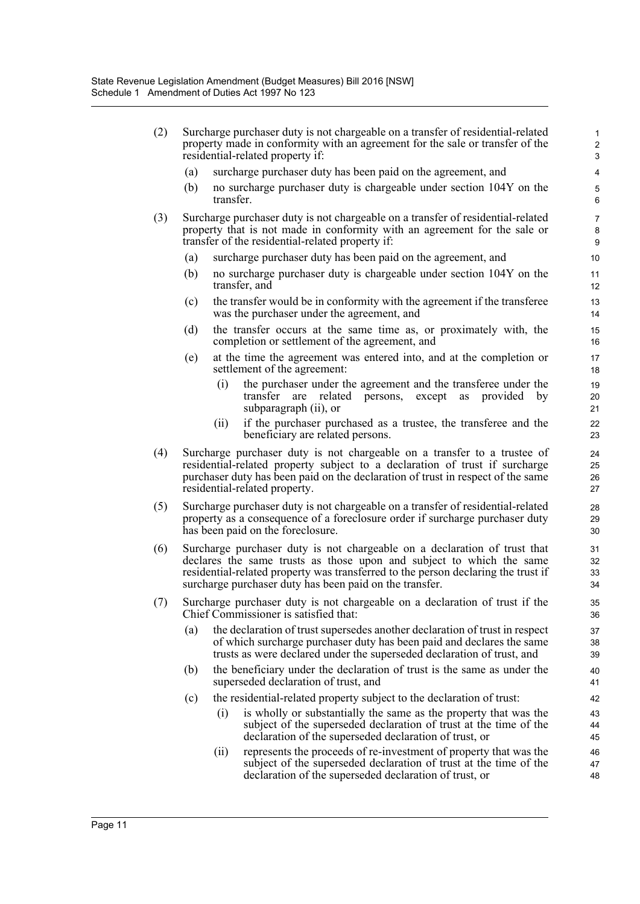| (2) | Surcharge purchaser duty is not chargeable on a transfer of residential-related<br>property made in conformity with an agreement for the sale or transfer of the<br>residential-related property if:             |                                                                                                                                                                                                                                                                                                   |                      |  |  |
|-----|------------------------------------------------------------------------------------------------------------------------------------------------------------------------------------------------------------------|---------------------------------------------------------------------------------------------------------------------------------------------------------------------------------------------------------------------------------------------------------------------------------------------------|----------------------|--|--|
|     | (a)                                                                                                                                                                                                              | surcharge purchaser duty has been paid on the agreement, and                                                                                                                                                                                                                                      | 4                    |  |  |
|     | (b)                                                                                                                                                                                                              | no surcharge purchaser duty is chargeable under section 104Y on the<br>transfer.                                                                                                                                                                                                                  | 5<br>$\,6\,$         |  |  |
| (3) | Surcharge purchaser duty is not chargeable on a transfer of residential-related<br>property that is not made in conformity with an agreement for the sale or<br>transfer of the residential-related property if: |                                                                                                                                                                                                                                                                                                   |                      |  |  |
|     | (a)                                                                                                                                                                                                              | surcharge purchaser duty has been paid on the agreement, and                                                                                                                                                                                                                                      | 10                   |  |  |
|     | (b)                                                                                                                                                                                                              | no surcharge purchaser duty is chargeable under section 104Y on the<br>transfer, and                                                                                                                                                                                                              | 11<br>12             |  |  |
|     | (c)                                                                                                                                                                                                              | the transfer would be in conformity with the agreement if the transferee<br>was the purchaser under the agreement, and                                                                                                                                                                            | 13<br>14             |  |  |
|     | (d)                                                                                                                                                                                                              | the transfer occurs at the same time as, or proximately with, the<br>completion or settlement of the agreement, and                                                                                                                                                                               | 15<br>16             |  |  |
|     | (e)                                                                                                                                                                                                              | at the time the agreement was entered into, and at the completion or<br>settlement of the agreement:                                                                                                                                                                                              | 17<br>18             |  |  |
|     |                                                                                                                                                                                                                  | (i)<br>the purchaser under the agreement and the transferee under the<br>related<br>transfer<br>persons,<br>except<br>provided<br>by<br>are<br>as<br>subparagraph (ii), or                                                                                                                        | 19<br>20<br>21       |  |  |
|     |                                                                                                                                                                                                                  | if the purchaser purchased as a trustee, the transferee and the<br>(ii)<br>beneficiary are related persons.                                                                                                                                                                                       | 22<br>23             |  |  |
| (4) |                                                                                                                                                                                                                  | Surcharge purchaser duty is not chargeable on a transfer to a trustee of<br>residential-related property subject to a declaration of trust if surcharge<br>purchaser duty has been paid on the declaration of trust in respect of the same<br>residential-related property.                       | 24<br>25<br>26<br>27 |  |  |
| (5) |                                                                                                                                                                                                                  | Surcharge purchaser duty is not chargeable on a transfer of residential-related<br>property as a consequence of a foreclosure order if surcharge purchaser duty<br>has been paid on the foreclosure.                                                                                              | 28<br>29<br>30       |  |  |
| (6) |                                                                                                                                                                                                                  | Surcharge purchaser duty is not chargeable on a declaration of trust that<br>declares the same trusts as those upon and subject to which the same<br>residential-related property was transferred to the person declaring the trust if<br>surcharge purchaser duty has been paid on the transfer. | 31<br>32<br>33<br>34 |  |  |
| (7) |                                                                                                                                                                                                                  | Surcharge purchaser duty is not chargeable on a declaration of trust if the<br>Chief Commissioner is satisfied that:                                                                                                                                                                              | 35<br>36             |  |  |
|     | (a)                                                                                                                                                                                                              | the declaration of trust supersedes another declaration of trust in respect<br>of which surcharge purchaser duty has been paid and declares the same<br>trusts as were declared under the superseded declaration of trust, and                                                                    | 37<br>38<br>39       |  |  |
|     | (b)                                                                                                                                                                                                              | the beneficiary under the declaration of trust is the same as under the<br>superseded declaration of trust, and                                                                                                                                                                                   | 40<br>41             |  |  |
|     | (c)                                                                                                                                                                                                              | the residential-related property subject to the declaration of trust:                                                                                                                                                                                                                             | 42                   |  |  |
|     |                                                                                                                                                                                                                  | is wholly or substantially the same as the property that was the<br>(i)<br>subject of the superseded declaration of trust at the time of the<br>declaration of the superseded declaration of trust, or                                                                                            | 43<br>44<br>45       |  |  |
|     |                                                                                                                                                                                                                  | represents the proceeds of re-investment of property that was the<br>(ii)<br>subject of the superseded declaration of trust at the time of the<br>declaration of the superseded declaration of trust, or                                                                                          | 46<br>47<br>48       |  |  |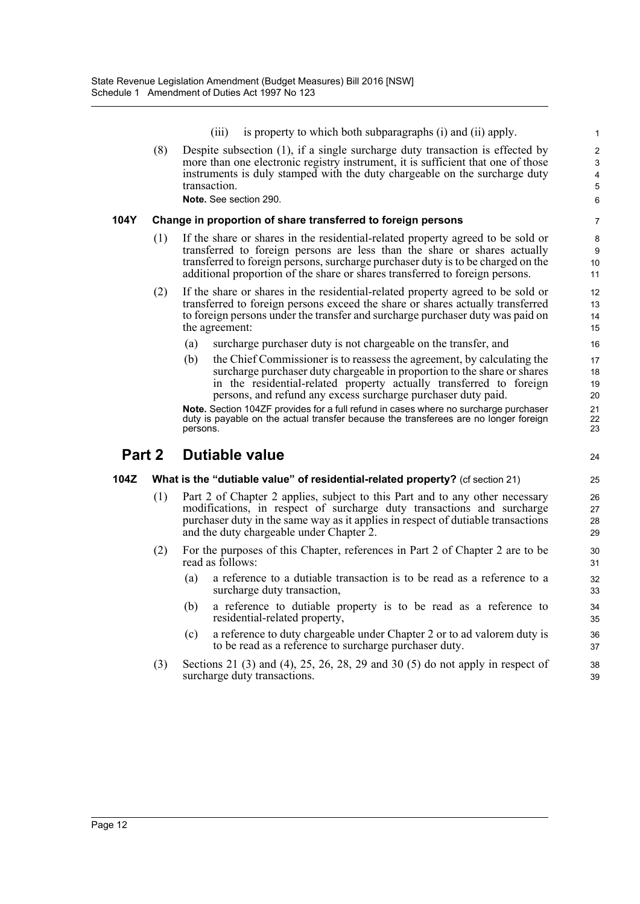(iii) is property to which both subparagraphs (i) and (ii) apply.

24

(8) Despite subsection (1), if a single surcharge duty transaction is effected by more than one electronic registry instrument, it is sufficient that one of those instruments is duly stamped with the duty chargeable on the surcharge duty transaction. **Note.** See section 290.

#### **104Y Change in proportion of share transferred to foreign persons**

- (1) If the share or shares in the residential-related property agreed to be sold or transferred to foreign persons are less than the share or shares actually transferred to foreign persons, surcharge purchaser duty is to be charged on the additional proportion of the share or shares transferred to foreign persons.
- (2) If the share or shares in the residential-related property agreed to be sold or transferred to foreign persons exceed the share or shares actually transferred to foreign persons under the transfer and surcharge purchaser duty was paid on the agreement:
	- (a) surcharge purchaser duty is not chargeable on the transfer, and
	- (b) the Chief Commissioner is to reassess the agreement, by calculating the surcharge purchaser duty chargeable in proportion to the share or shares in the residential-related property actually transferred to foreign persons, and refund any excess surcharge purchaser duty paid.

**Note.** Section 104ZF provides for a full refund in cases where no surcharge purchaser duty is payable on the actual transfer because the transferees are no longer foreign persons.

### **Part 2 Dutiable value**

### **104Z What is the "dutiable value" of residential-related property?** (cf section 21)

- (1) Part 2 of Chapter 2 applies, subject to this Part and to any other necessary modifications, in respect of surcharge duty transactions and surcharge purchaser duty in the same way as it applies in respect of dutiable transactions and the duty chargeable under Chapter 2.
- (2) For the purposes of this Chapter, references in Part 2 of Chapter 2 are to be read as follows:
	- (a) a reference to a dutiable transaction is to be read as a reference to a surcharge duty transaction,
	- (b) a reference to dutiable property is to be read as a reference to residential-related property,
	- (c) a reference to duty chargeable under Chapter 2 or to ad valorem duty is to be read as a reference to surcharge purchaser duty.
- (3) Sections 21 (3) and (4), 25, 26, 28, 29 and 30 (5) do not apply in respect of surcharge duty transactions.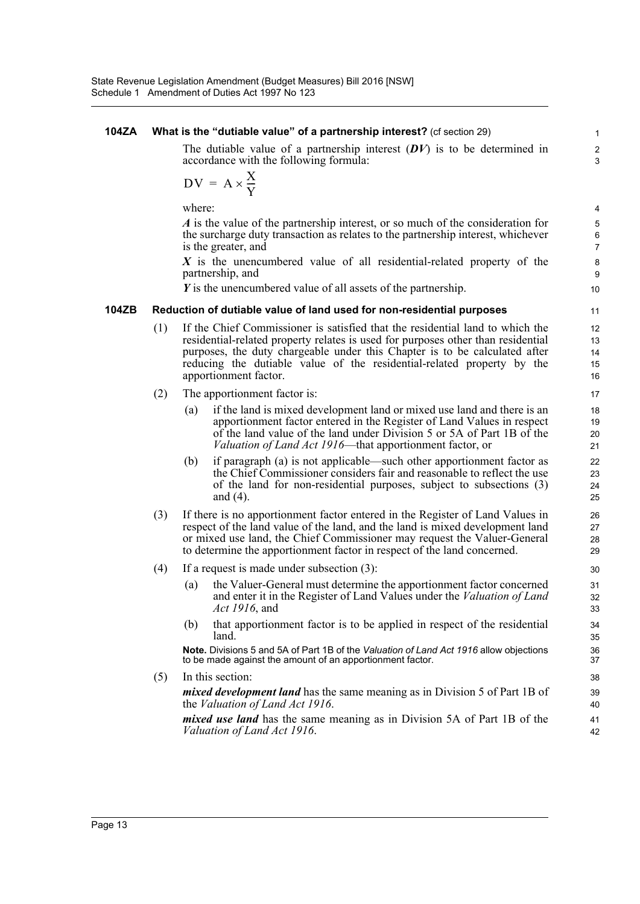#### **104ZA What is the "dutiable value" of a partnership interest?** (cf section 29) The dutiable value of a partnership interest (*DV*) is to be determined in accordance with the following formula: where: *A* is the value of the partnership interest, or so much of the consideration for the surcharge duty transaction as relates to the partnership interest, whichever is the greater, and *X* is the unencumbered value of all residential-related property of the partnership, and *Y* is the unencumbered value of all assets of the partnership. **104ZB Reduction of dutiable value of land used for non-residential purposes** (1) If the Chief Commissioner is satisfied that the residential land to which the residential-related property relates is used for purposes other than residential purposes, the duty chargeable under this Chapter is to be calculated after reducing the dutiable value of the residential-related property by the apportionment factor. (2) The apportionment factor is: (a) if the land is mixed development land or mixed use land and there is an apportionment factor entered in the Register of Land Values in respect of the land value of the land under Division 5 or 5A of Part 1B of the *Valuation of Land Act 1916*—that apportionment factor, or (b) if paragraph (a) is not applicable—such other apportionment factor as the Chief Commissioner considers fair and reasonable to reflect the use of the land for non-residential purposes, subject to subsections (3) and (4). (3) If there is no apportionment factor entered in the Register of Land Values in respect of the land value of the land, and the land is mixed development land or mixed use land, the Chief Commissioner may request the Valuer-General to determine the apportionment factor in respect of the land concerned. (4) If a request is made under subsection (3): (a) the Valuer-General must determine the apportionment factor concerned and enter it in the Register of Land Values under the *Valuation of Land Act 1916*, and (b) that apportionment factor is to be applied in respect of the residential land. **Note.** Divisions 5 and 5A of Part 1B of the *Valuation of Land Act 1916* allow objections to be made against the amount of an apportionment factor. (5) In this section: *mixed development land* has the same meaning as in Division 5 of Part 1B of the *Valuation of Land Act 1916*. *mixed use land* has the same meaning as in Division 5A of Part 1B of the *Valuation of Land Act 1916*. 1  $\overline{2}$ 3  $DV = A \times \frac{X}{Y}$ 4 5 6 7 8 9 10 11 12 13 14 15 16 17 18 19 20 21 22 23 24 25 26 27 28 29 30 31 32 33 34 35 36 37 38 39 40 41 42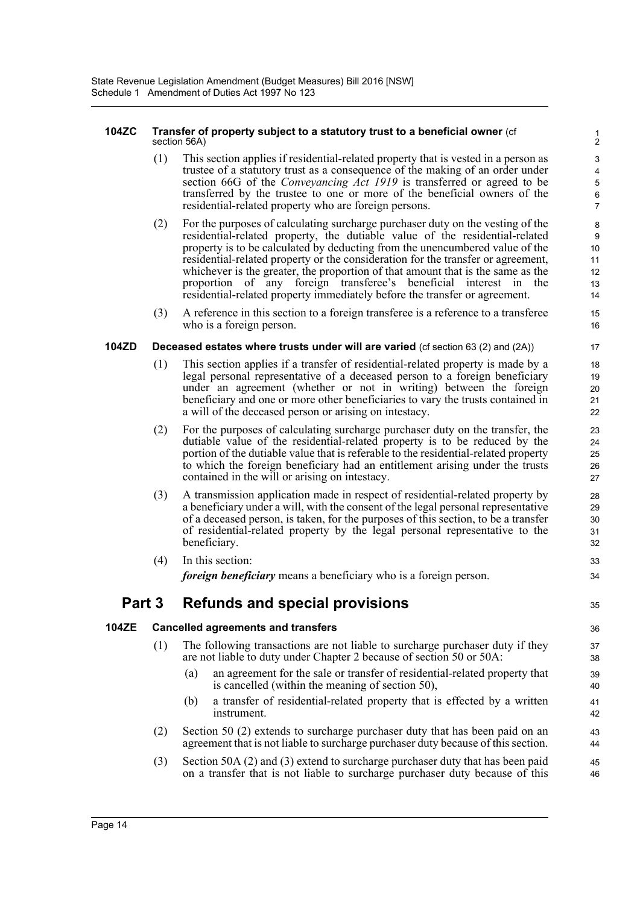#### **104ZC Transfer of property subject to a statutory trust to a beneficial owner** (cf section 56A)

(1) This section applies if residential-related property that is vested in a person as trustee of a statutory trust as a consequence of the making of an order under section 66G of the *Conveyancing Act 1919* is transferred or agreed to be transferred by the trustee to one or more of the beneficial owners of the residential-related property who are foreign persons.

35

- (2) For the purposes of calculating surcharge purchaser duty on the vesting of the residential-related property, the dutiable value of the residential-related property is to be calculated by deducting from the unencumbered value of the residential-related property or the consideration for the transfer or agreement, whichever is the greater, the proportion of that amount that is the same as the proportion of any foreign transferee's beneficial interest in the residential-related property immediately before the transfer or agreement.
- (3) A reference in this section to a foreign transferee is a reference to a transferee who is a foreign person.

### **104ZD Deceased estates where trusts under will are varied** (cf section 63 (2) and (2A))

- (1) This section applies if a transfer of residential-related property is made by a legal personal representative of a deceased person to a foreign beneficiary under an agreement (whether or not in writing) between the foreign beneficiary and one or more other beneficiaries to vary the trusts contained in a will of the deceased person or arising on intestacy.
- (2) For the purposes of calculating surcharge purchaser duty on the transfer, the dutiable value of the residential-related property is to be reduced by the portion of the dutiable value that is referable to the residential-related property to which the foreign beneficiary had an entitlement arising under the trusts contained in the will or arising on intestacy.
- (3) A transmission application made in respect of residential-related property by a beneficiary under a will, with the consent of the legal personal representative of a deceased person, is taken, for the purposes of this section, to be a transfer of residential-related property by the legal personal representative to the beneficiary.
- (4) In this section: *foreign beneficiary* means a beneficiary who is a foreign person.

## **Part 3 Refunds and special provisions**

### **104ZE Cancelled agreements and transfers**

- (1) The following transactions are not liable to surcharge purchaser duty if they are not liable to duty under Chapter 2 because of section 50 or 50A:
	- (a) an agreement for the sale or transfer of residential-related property that is cancelled (within the meaning of section 50),
	- (b) a transfer of residential-related property that is effected by a written instrument.
- (2) Section 50 (2) extends to surcharge purchaser duty that has been paid on an agreement that is not liable to surcharge purchaser duty because of this section.
- (3) Section 50A (2) and (3) extend to surcharge purchaser duty that has been paid on a transfer that is not liable to surcharge purchaser duty because of this 45 46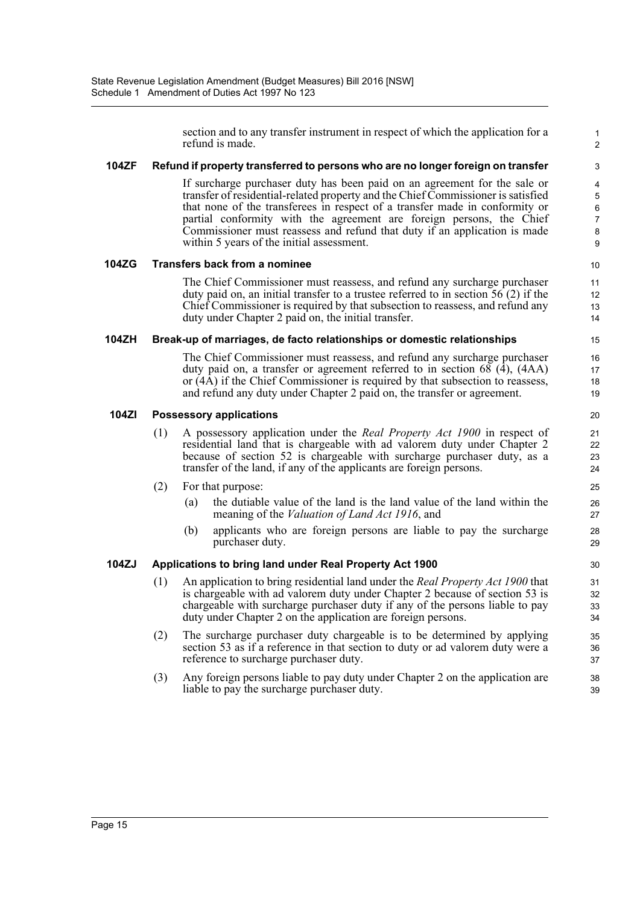section and to any transfer instrument in respect of which the application for a refund is made.

1 2

#### **104ZF Refund if property transferred to persons who are no longer foreign on transfer**

If surcharge purchaser duty has been paid on an agreement for the sale or transfer of residential-related property and the Chief Commissioner is satisfied that none of the transferees in respect of a transfer made in conformity or partial conformity with the agreement are foreign persons, the Chief Commissioner must reassess and refund that duty if an application is made within 5 years of the initial assessment.

#### **104ZG Transfers back from a nominee**

The Chief Commissioner must reassess, and refund any surcharge purchaser duty paid on, an initial transfer to a trustee referred to in section 56 (2) if the Chief Commissioner is required by that subsection to reassess, and refund any duty under Chapter 2 paid on, the initial transfer.

#### **104ZH Break-up of marriages, de facto relationships or domestic relationships**

The Chief Commissioner must reassess, and refund any surcharge purchaser duty paid on, a transfer or agreement referred to in section 68 (4), (4AA) or (4A) if the Chief Commissioner is required by that subsection to reassess, and refund any duty under Chapter 2 paid on, the transfer or agreement.

#### **104ZI Possessory applications**

- (1) A possessory application under the *Real Property Act 1900* in respect of residential land that is chargeable with ad valorem duty under Chapter 2 because of section 52 is chargeable with surcharge purchaser duty, as a transfer of the land, if any of the applicants are foreign persons.
- (2) For that purpose:
	- (a) the dutiable value of the land is the land value of the land within the meaning of the *Valuation of Land Act 1916*, and
	- (b) applicants who are foreign persons are liable to pay the surcharge purchaser duty.

### **104ZJ Applications to bring land under Real Property Act 1900**

- (1) An application to bring residential land under the *Real Property Act 1900* that is chargeable with ad valorem duty under Chapter 2 because of section 53 is chargeable with surcharge purchaser duty if any of the persons liable to pay duty under Chapter 2 on the application are foreign persons.
- (2) The surcharge purchaser duty chargeable is to be determined by applying section 53 as if a reference in that section to duty or ad valorem duty were a reference to surcharge purchaser duty.
- (3) Any foreign persons liable to pay duty under Chapter 2 on the application are liable to pay the surcharge purchaser duty.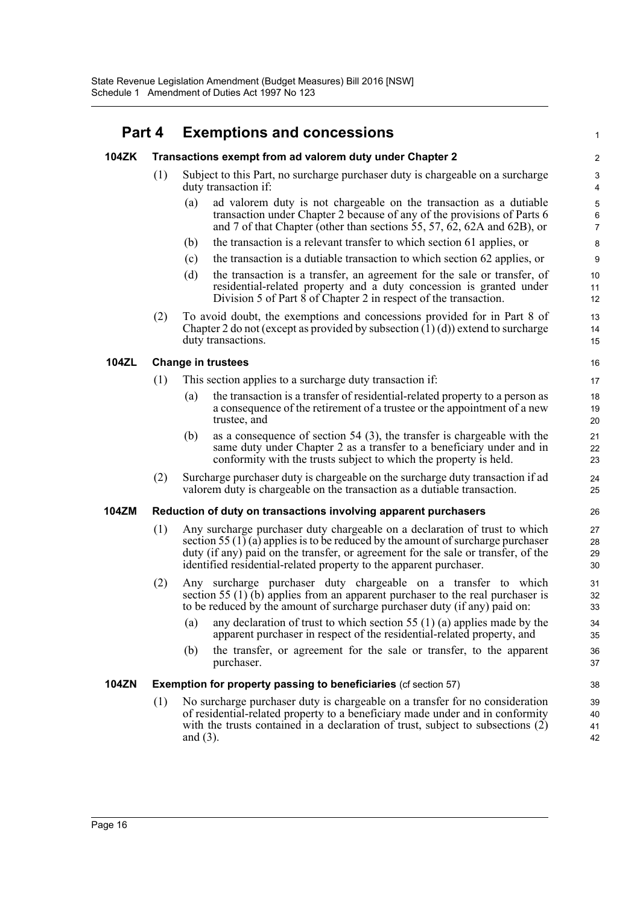## **Part 4 Exemptions and concessions**

| 104ZK        |     | Transactions exempt from ad valorem duty under Chapter 2                                                                                                                                                                                                                                                                    | $\overline{\mathbf{c}}$                |
|--------------|-----|-----------------------------------------------------------------------------------------------------------------------------------------------------------------------------------------------------------------------------------------------------------------------------------------------------------------------------|----------------------------------------|
|              | (1) | Subject to this Part, no surcharge purchaser duty is chargeable on a surcharge<br>duty transaction if:                                                                                                                                                                                                                      | 3<br>4                                 |
|              |     | ad valorem duty is not chargeable on the transaction as a dutiable<br>(a)<br>transaction under Chapter 2 because of any of the provisions of Parts 6<br>and 7 of that Chapter (other than sections 55, 57, 62, 62A and 62B), or                                                                                             | $\mathbf 5$<br>$\,6$<br>$\overline{7}$ |
|              |     | the transaction is a relevant transfer to which section 61 applies, or<br>(b)                                                                                                                                                                                                                                               | 8                                      |
|              |     | the transaction is a dutiable transaction to which section 62 applies, or<br>(c)                                                                                                                                                                                                                                            | 9                                      |
|              |     | (d)<br>the transaction is a transfer, an agreement for the sale or transfer, of<br>residential-related property and a duty concession is granted under<br>Division 5 of Part 8 of Chapter 2 in respect of the transaction.                                                                                                  | 10<br>11<br>12                         |
|              | (2) | To avoid doubt, the exemptions and concessions provided for in Part 8 of<br>Chapter 2 do not (except as provided by subsection $(1)(d)$ ) extend to surcharge<br>duty transactions.                                                                                                                                         | 13<br>14<br>15                         |
| <b>104ZL</b> |     | <b>Change in trustees</b>                                                                                                                                                                                                                                                                                                   | 16                                     |
|              | (1) | This section applies to a surcharge duty transaction if:                                                                                                                                                                                                                                                                    | 17                                     |
|              |     | the transaction is a transfer of residential-related property to a person as<br>(a)<br>a consequence of the retirement of a trustee or the appointment of a new<br>trustee, and                                                                                                                                             | 18<br>19<br>20                         |
|              |     | as a consequence of section $54$ (3), the transfer is chargeable with the<br>(b)<br>same duty under Chapter 2 as a transfer to a beneficiary under and in<br>conformity with the trusts subject to which the property is held.                                                                                              | 21<br>22<br>23                         |
|              | (2) | Surcharge purchaser duty is chargeable on the surcharge duty transaction if ad<br>valorem duty is chargeable on the transaction as a dutiable transaction.                                                                                                                                                                  | 24<br>25                               |
| <b>104ZM</b> |     | Reduction of duty on transactions involving apparent purchasers                                                                                                                                                                                                                                                             | 26                                     |
|              | (1) | Any surcharge purchaser duty chargeable on a declaration of trust to which<br>section 55 $(1)$ (a) applies is to be reduced by the amount of surcharge purchaser<br>duty (if any) paid on the transfer, or agreement for the sale or transfer, of the<br>identified residential-related property to the apparent purchaser. | 27<br>28<br>29<br>30                   |
|              | (2) | Any surcharge purchaser duty chargeable on a transfer to which<br>section 55 $(1)$ (b) applies from an apparent purchaser to the real purchaser is<br>to be reduced by the amount of surcharge purchaser duty (if any) paid on:                                                                                             | 31<br>32<br>33                         |
|              |     | any declaration of trust to which section 55 $(1)$ (a) applies made by the<br>(a)<br>apparent purchaser in respect of the residential-related property, and                                                                                                                                                                 | 34<br>35                               |
|              |     | the transfer, or agreement for the sale or transfer, to the apparent<br>(b)<br>purchaser.                                                                                                                                                                                                                                   | 36<br>37                               |
| <b>104ZN</b> |     | <b>Exemption for property passing to beneficiaries (cf section 57)</b>                                                                                                                                                                                                                                                      | 38                                     |
|              | (1) | No surcharge purchaser duty is chargeable on a transfer for no consideration<br>of residential-related property to a beneficiary made under and in conformity<br>with the trusts contained in a declaration of trust, subject to subsections (2)<br>and $(3)$ .                                                             | 39<br>40<br>41<br>42                   |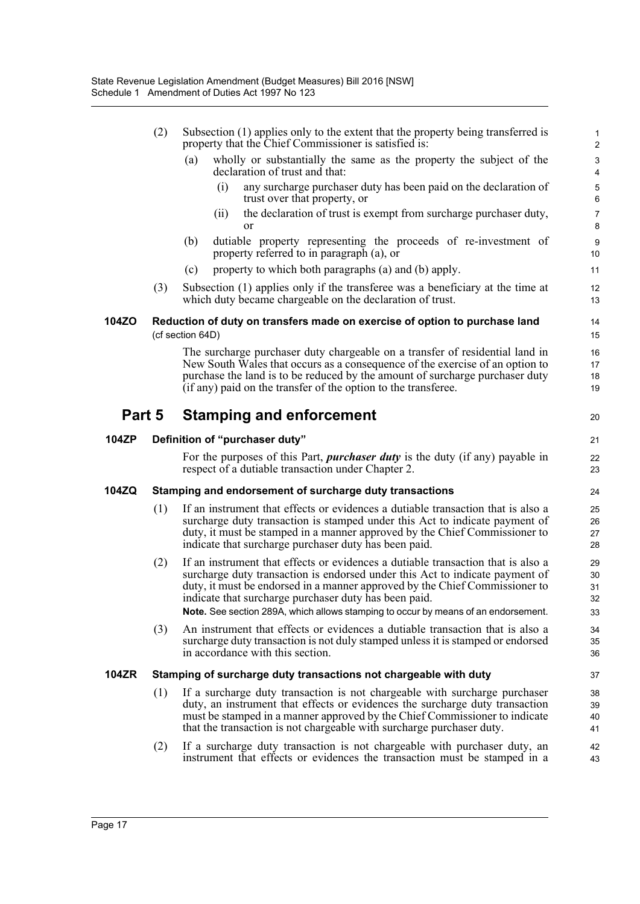|              | (2) | Subsection (1) applies only to the extent that the property being transferred is<br>property that the Chief Commissioner is satisfied is:                                                                                                                                                                                                                                                      | 1<br>$\overline{\mathbf{c}}$ |
|--------------|-----|------------------------------------------------------------------------------------------------------------------------------------------------------------------------------------------------------------------------------------------------------------------------------------------------------------------------------------------------------------------------------------------------|------------------------------|
|              |     | (a)<br>wholly or substantially the same as the property the subject of the<br>declaration of trust and that:                                                                                                                                                                                                                                                                                   | 3<br>4                       |
|              |     | (i)<br>any surcharge purchaser duty has been paid on the declaration of<br>trust over that property, or                                                                                                                                                                                                                                                                                        | 5<br>6                       |
|              |     | the declaration of trust is exempt from surcharge purchaser duty,<br>(ii)<br><sub>or</sub>                                                                                                                                                                                                                                                                                                     | $\overline{7}$<br>8          |
|              |     | (b)<br>dutiable property representing the proceeds of re-investment of<br>property referred to in paragraph (a), or                                                                                                                                                                                                                                                                            | 9<br>10                      |
|              |     | property to which both paragraphs (a) and (b) apply.<br>(c)                                                                                                                                                                                                                                                                                                                                    | 11                           |
|              | (3) | Subsection (1) applies only if the transferee was a beneficiary at the time at<br>which duty became chargeable on the declaration of trust.                                                                                                                                                                                                                                                    | 12<br>13                     |
| 104ZO        |     | Reduction of duty on transfers made on exercise of option to purchase land<br>(cf section 64D)                                                                                                                                                                                                                                                                                                 | 14<br>15                     |
|              |     | The surcharge purchaser duty chargeable on a transfer of residential land in<br>New South Wales that occurs as a consequence of the exercise of an option to<br>purchase the land is to be reduced by the amount of surcharge purchaser duty<br>(if any) paid on the transfer of the option to the transferee.                                                                                 | 16<br>17<br>18<br>19         |
| Part 5       |     | <b>Stamping and enforcement</b>                                                                                                                                                                                                                                                                                                                                                                | 20                           |
| 104ZP        |     | Definition of "purchaser duty"                                                                                                                                                                                                                                                                                                                                                                 | 21                           |
|              |     | For the purposes of this Part, <i>purchaser duty</i> is the duty (if any) payable in<br>respect of a dutiable transaction under Chapter 2.                                                                                                                                                                                                                                                     | 22<br>23                     |
| 104ZQ        |     | Stamping and endorsement of surcharge duty transactions                                                                                                                                                                                                                                                                                                                                        | 24                           |
|              | (1) | If an instrument that effects or evidences a dutiable transaction that is also a<br>surcharge duty transaction is stamped under this Act to indicate payment of<br>duty, it must be stamped in a manner approved by the Chief Commissioner to<br>indicate that surcharge purchaser duty has been paid.                                                                                         | 25<br>26<br>27<br>28         |
|              | (2) | If an instrument that effects or evidences a dutiable transaction that is also a<br>surcharge duty transaction is endorsed under this Act to indicate payment of<br>duty, it must be endorsed in a manner approved by the Chief Commissioner to<br>indicate that surcharge purchaser duty has been paid.<br>Note. See section 289A, which allows stamping to occur by means of an endorsement. | 29<br>30<br>31<br>32<br>33   |
|              | (3) | An instrument that effects or evidences a dutiable transaction that is also a<br>surcharge duty transaction is not duly stamped unless it is stamped or endorsed<br>in accordance with this section.                                                                                                                                                                                           | 34<br>35<br>36               |
| <b>104ZR</b> |     | Stamping of surcharge duty transactions not chargeable with duty                                                                                                                                                                                                                                                                                                                               | 37                           |
|              | (1) | If a surcharge duty transaction is not chargeable with surcharge purchaser<br>duty, an instrument that effects or evidences the surcharge duty transaction<br>must be stamped in a manner approved by the Chief Commissioner to indicate<br>that the transaction is not chargeable with surcharge purchaser duty.                                                                              | 38<br>39<br>40<br>41         |
|              | (2) | If a surcharge duty transaction is not chargeable with purchaser duty, an<br>instrument that effects or evidences the transaction must be stamped in a                                                                                                                                                                                                                                         | 42<br>43                     |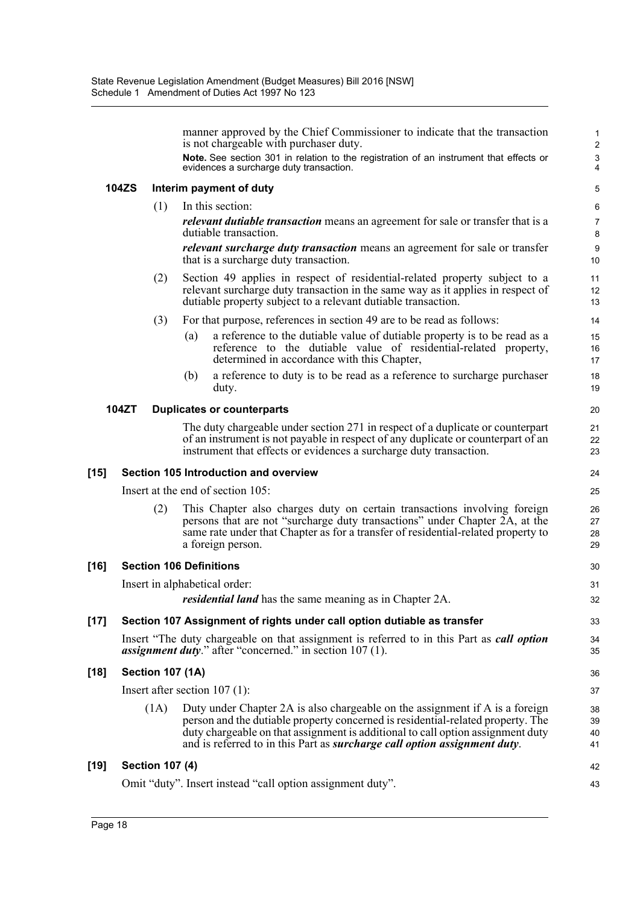manner approved by the Chief Commissioner to indicate that the transaction is not chargeable with purchaser duty. **Note.** See section 301 in relation to the registration of an instrument that effects or evidences a surcharge duty transaction. **104ZS Interim payment of duty** (1) In this section: *relevant dutiable transaction* means an agreement for sale or transfer that is a dutiable transaction. *relevant surcharge duty transaction* means an agreement for sale or transfer that is a surcharge duty transaction. (2) Section 49 applies in respect of residential-related property subject to a relevant surcharge duty transaction in the same way as it applies in respect of dutiable property subject to a relevant dutiable transaction. (3) For that purpose, references in section 49 are to be read as follows: (a) a reference to the dutiable value of dutiable property is to be read as a reference to the dutiable value of residential-related property, determined in accordance with this Chapter, (b) a reference to duty is to be read as a reference to surcharge purchaser duty. **104ZT Duplicates or counterparts** The duty chargeable under section 271 in respect of a duplicate or counterpart of an instrument is not payable in respect of any duplicate or counterpart of an instrument that effects or evidences a surcharge duty transaction. **[15] Section 105 Introduction and overview** Insert at the end of section 105: (2) This Chapter also charges duty on certain transactions involving foreign persons that are not "surcharge duty transactions" under Chapter 2A, at the same rate under that Chapter as for a transfer of residential-related property to a foreign person. **[16] Section 106 Definitions** Insert in alphabetical order: *residential land* has the same meaning as in Chapter 2A. **[17] Section 107 Assignment of rights under call option dutiable as transfer** Insert "The duty chargeable on that assignment is referred to in this Part as *call option assignment duty*." after "concerned." in section 107 (1). **[18] Section 107 (1A)** Insert after section 107 (1): (1A) Duty under Chapter 2A is also chargeable on the assignment if A is a foreign person and the dutiable property concerned is residential-related property. The duty chargeable on that assignment is additional to call option assignment duty and is referred to in this Part as *surcharge call option assignment duty*. 1 2 3 4 5 6 7 8 9 10 11 12 13 14 15 16 17 18 19  $20$ 21 22 23 24 25 26 27 28 29 30 31 32 33 34 35 36 37 38 39 40 41 42

43

### **[19] Section 107 (4)**

Omit "duty". Insert instead "call option assignment duty".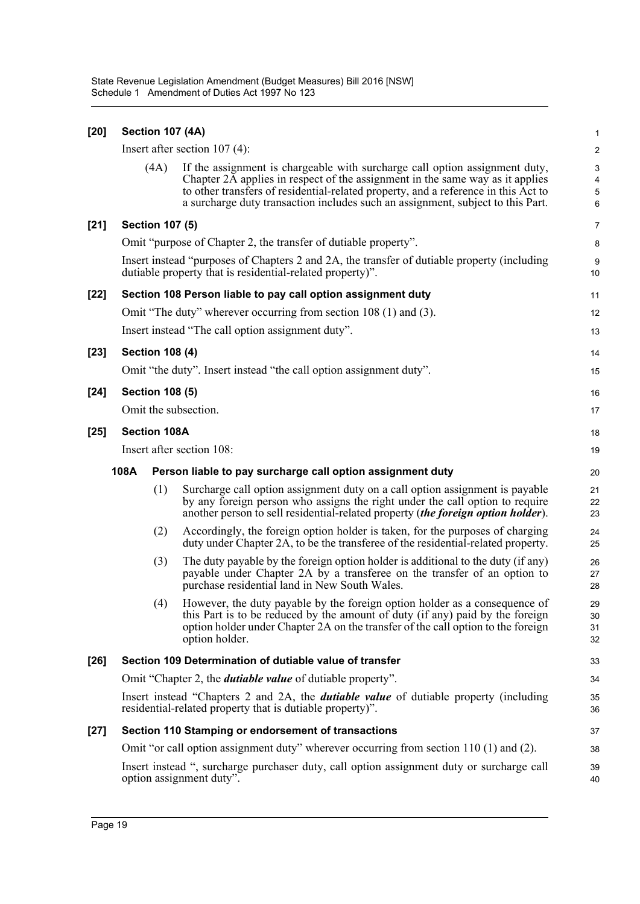| $[20]$ |      | <b>Section 107 (4A)</b>                                                                                                                                  |                                                                                                                                                                                                                                                                                                                                       | $\mathbf{1}$                             |  |  |
|--------|------|----------------------------------------------------------------------------------------------------------------------------------------------------------|---------------------------------------------------------------------------------------------------------------------------------------------------------------------------------------------------------------------------------------------------------------------------------------------------------------------------------------|------------------------------------------|--|--|
|        |      |                                                                                                                                                          | Insert after section $107(4)$ :                                                                                                                                                                                                                                                                                                       | $\overline{c}$                           |  |  |
|        |      | (4A)                                                                                                                                                     | If the assignment is chargeable with surcharge call option assignment duty,<br>Chapter 2A applies in respect of the assignment in the same way as it applies<br>to other transfers of residential-related property, and a reference in this Act to<br>a surcharge duty transaction includes such an assignment, subject to this Part. | $\mathbf{3}$<br>$\overline{4}$<br>5<br>6 |  |  |
| $[21]$ |      | <b>Section 107 (5)</b>                                                                                                                                   |                                                                                                                                                                                                                                                                                                                                       | $\overline{7}$                           |  |  |
|        |      |                                                                                                                                                          | Omit "purpose of Chapter 2, the transfer of dutiable property".                                                                                                                                                                                                                                                                       | 8                                        |  |  |
|        |      | Insert instead "purposes of Chapters 2 and 2A, the transfer of dutiable property (including<br>dutiable property that is residential-related property)". |                                                                                                                                                                                                                                                                                                                                       |                                          |  |  |
| $[22]$ |      |                                                                                                                                                          | Section 108 Person liable to pay call option assignment duty                                                                                                                                                                                                                                                                          | 11                                       |  |  |
|        |      |                                                                                                                                                          | Omit "The duty" wherever occurring from section 108 (1) and (3).                                                                                                                                                                                                                                                                      | 12                                       |  |  |
|        |      |                                                                                                                                                          | Insert instead "The call option assignment duty".                                                                                                                                                                                                                                                                                     | 13                                       |  |  |
| $[23]$ |      | <b>Section 108 (4)</b>                                                                                                                                   |                                                                                                                                                                                                                                                                                                                                       | 14                                       |  |  |
|        |      |                                                                                                                                                          | Omit "the duty". Insert instead "the call option assignment duty".                                                                                                                                                                                                                                                                    | 15                                       |  |  |
| $[24]$ |      | <b>Section 108 (5)</b>                                                                                                                                   |                                                                                                                                                                                                                                                                                                                                       | 16                                       |  |  |
|        |      |                                                                                                                                                          | Omit the subsection.                                                                                                                                                                                                                                                                                                                  | 17                                       |  |  |
| $[25]$ |      | <b>Section 108A</b>                                                                                                                                      |                                                                                                                                                                                                                                                                                                                                       | 18                                       |  |  |
|        |      |                                                                                                                                                          | Insert after section 108:                                                                                                                                                                                                                                                                                                             | 19                                       |  |  |
|        | 108A |                                                                                                                                                          | Person liable to pay surcharge call option assignment duty                                                                                                                                                                                                                                                                            | 20                                       |  |  |
|        |      | (1)                                                                                                                                                      | Surcharge call option assignment duty on a call option assignment is payable                                                                                                                                                                                                                                                          | 21                                       |  |  |
|        |      |                                                                                                                                                          | by any foreign person who assigns the right under the call option to require<br>another person to sell residential-related property (the foreign option holder).                                                                                                                                                                      | 22<br>23                                 |  |  |
|        |      | (2)                                                                                                                                                      | Accordingly, the foreign option holder is taken, for the purposes of charging<br>duty under Chapter 2A, to be the transferee of the residential-related property.                                                                                                                                                                     | 24<br>25                                 |  |  |
|        |      | (3)                                                                                                                                                      | The duty payable by the foreign option holder is additional to the duty (if any)<br>payable under Chapter 2A by a transferee on the transfer of an option to<br>purchase residential land in New South Wales.                                                                                                                         | 26<br>27<br>28                           |  |  |
|        |      |                                                                                                                                                          | (4) However, the duty payable by the foreign option holder as a consequence of<br>this Part is to be reduced by the amount of duty (if any) paid by the foreign<br>option holder under Chapter 2A on the transfer of the call option to the foreign<br>option holder.                                                                 | 29<br>30<br>31<br>32                     |  |  |
| $[26]$ |      |                                                                                                                                                          | Section 109 Determination of dutiable value of transfer                                                                                                                                                                                                                                                                               | 33                                       |  |  |
|        |      |                                                                                                                                                          | Omit "Chapter 2, the <i>dutiable value</i> of dutiable property".                                                                                                                                                                                                                                                                     | 34                                       |  |  |
|        |      |                                                                                                                                                          | Insert instead "Chapters 2 and 2A, the <i>dutiable value</i> of dutiable property (including<br>residential-related property that is dutiable property)".                                                                                                                                                                             | 35<br>36                                 |  |  |
| $[27]$ |      |                                                                                                                                                          | Section 110 Stamping or endorsement of transactions                                                                                                                                                                                                                                                                                   | 37                                       |  |  |
|        |      |                                                                                                                                                          | Omit "or call option assignment duty" wherever occurring from section $110(1)$ and $(2)$ .                                                                                                                                                                                                                                            | 38                                       |  |  |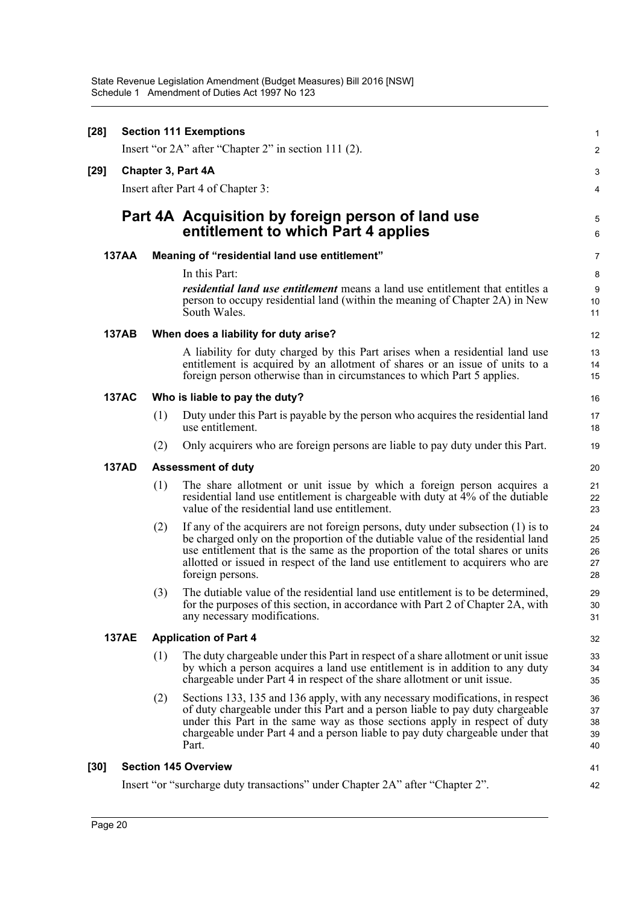| $[28]$ | <b>Section 111 Exemptions</b> |                                                      |                                                                                                                                                                                                                                                                                                                                                                |                            |  |
|--------|-------------------------------|------------------------------------------------------|----------------------------------------------------------------------------------------------------------------------------------------------------------------------------------------------------------------------------------------------------------------------------------------------------------------------------------------------------------------|----------------------------|--|
|        |                               | Insert "or 2A" after "Chapter 2" in section 111 (2). |                                                                                                                                                                                                                                                                                                                                                                |                            |  |
| [29]   |                               | Chapter 3, Part 4A                                   |                                                                                                                                                                                                                                                                                                                                                                |                            |  |
|        |                               |                                                      | Insert after Part 4 of Chapter 3:                                                                                                                                                                                                                                                                                                                              | 4                          |  |
|        |                               |                                                      | Part 4A Acquisition by foreign person of land use<br>entitlement to which Part 4 applies                                                                                                                                                                                                                                                                       | 5<br>6                     |  |
|        | <b>137AA</b>                  |                                                      | Meaning of "residential land use entitlement"                                                                                                                                                                                                                                                                                                                  | 7                          |  |
|        |                               |                                                      | In this Part:                                                                                                                                                                                                                                                                                                                                                  | 8                          |  |
|        |                               |                                                      | <i>residential land use entitlement</i> means a land use entitlement that entitles a<br>person to occupy residential land (within the meaning of Chapter 2A) in New<br>South Wales.                                                                                                                                                                            | 9<br>10<br>11              |  |
|        | <b>137AB</b>                  |                                                      | When does a liability for duty arise?                                                                                                                                                                                                                                                                                                                          | 12                         |  |
|        |                               |                                                      | A liability for duty charged by this Part arises when a residential land use<br>entitlement is acquired by an allotment of shares or an issue of units to a<br>foreign person otherwise than in circumstances to which Part 5 applies.                                                                                                                         | 13<br>14<br>15             |  |
|        | <b>137AC</b>                  |                                                      | Who is liable to pay the duty?                                                                                                                                                                                                                                                                                                                                 | 16                         |  |
|        |                               | (1)                                                  | Duty under this Part is payable by the person who acquires the residential land<br>use entitlement.                                                                                                                                                                                                                                                            | 17<br>18                   |  |
|        |                               | (2)                                                  | Only acquirers who are foreign persons are liable to pay duty under this Part.                                                                                                                                                                                                                                                                                 | 19                         |  |
|        | <b>137AD</b>                  |                                                      | <b>Assessment of duty</b>                                                                                                                                                                                                                                                                                                                                      | 20                         |  |
|        |                               | (1)                                                  | The share allotment or unit issue by which a foreign person acquires a<br>residential land use entitlement is chargeable with duty at 4% of the dutiable<br>value of the residential land use entitlement.                                                                                                                                                     | 21<br>22<br>23             |  |
|        |                               | (2)                                                  | If any of the acquirers are not foreign persons, duty under subsection $(1)$ is to<br>be charged only on the proportion of the dutiable value of the residential land<br>use entitlement that is the same as the proportion of the total shares or units<br>allotted or issued in respect of the land use entitlement to acquirers who are<br>foreign persons. | 24<br>25<br>26<br>27<br>28 |  |
|        |                               | (3)                                                  | The dutiable value of the residential land use entitlement is to be determined,<br>for the purposes of this section, in accordance with Part 2 of Chapter 2A, with<br>any necessary modifications.                                                                                                                                                             | 29<br>$30\,$<br>31         |  |
|        | <b>137AE</b>                  |                                                      | <b>Application of Part 4</b>                                                                                                                                                                                                                                                                                                                                   | 32                         |  |
|        |                               | (1)                                                  | The duty chargeable under this Part in respect of a share allotment or unit issue<br>by which a person acquires a land use entitlement is in addition to any duty<br>chargeable under Part 4 in respect of the share allotment or unit issue.                                                                                                                  | 33<br>34<br>35             |  |
|        |                               | (2)                                                  | Sections 133, 135 and 136 apply, with any necessary modifications, in respect<br>of duty chargeable under this Part and a person liable to pay duty chargeable<br>under this Part in the same way as those sections apply in respect of duty<br>chargeable under Part 4 and a person liable to pay duty chargeable under that<br>Part.                         | 36<br>37<br>38<br>39<br>40 |  |
| [30]   |                               |                                                      | <b>Section 145 Overview</b>                                                                                                                                                                                                                                                                                                                                    | 41                         |  |
|        |                               |                                                      | Insert "or "surcharge duty transactions" under Chapter 2A" after "Chapter 2".                                                                                                                                                                                                                                                                                  | 42                         |  |
|        |                               |                                                      |                                                                                                                                                                                                                                                                                                                                                                |                            |  |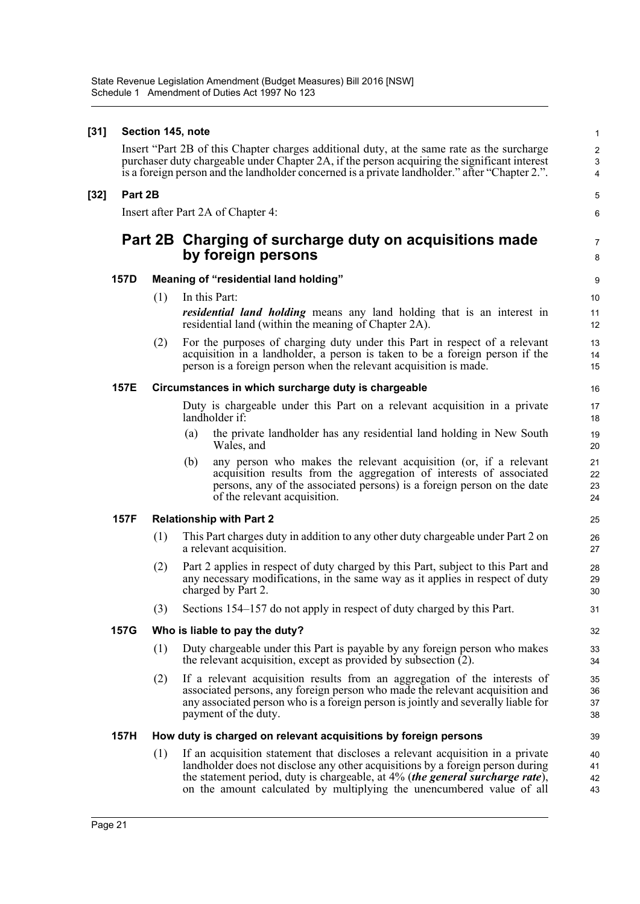### **[31] Section 145, note**

Insert "Part 2B of this Chapter charges additional duty, at the same rate as the surcharge purchaser duty chargeable under Chapter 2A, if the person acquiring the significant interest is a foreign person and the landholder concerned is a private landholder." after "Chapter 2.".

5 6

7 8

39

### **[32] Part 2B**

Insert after Part 2A of Chapter 4:

## **Part 2B Charging of surcharge duty on acquisitions made by foreign persons**

### **157D Meaning of "residential land holding"**

- (1) In this Part: *residential land holding* means any land holding that is an interest in residential land (within the meaning of Chapter 2A).
- (2) For the purposes of charging duty under this Part in respect of a relevant acquisition in a landholder, a person is taken to be a foreign person if the person is a foreign person when the relevant acquisition is made.

### **157E Circumstances in which surcharge duty is chargeable**

Duty is chargeable under this Part on a relevant acquisition in a private landholder if:

- (a) the private landholder has any residential land holding in New South Wales, and
- (b) any person who makes the relevant acquisition (or, if a relevant acquisition results from the aggregation of interests of associated persons, any of the associated persons) is a foreign person on the date of the relevant acquisition.

### **157F Relationship with Part 2**

- (1) This Part charges duty in addition to any other duty chargeable under Part 2 on a relevant acquisition.
- (2) Part 2 applies in respect of duty charged by this Part, subject to this Part and any necessary modifications, in the same way as it applies in respect of duty charged by Part 2.
- (3) Sections 154–157 do not apply in respect of duty charged by this Part.

### **157G Who is liable to pay the duty?**

- (1) Duty chargeable under this Part is payable by any foreign person who makes the relevant acquisition, except as provided by subsection (2).
- (2) If a relevant acquisition results from an aggregation of the interests of associated persons, any foreign person who made the relevant acquisition and any associated person who is a foreign person is jointly and severally liable for payment of the duty.

### **157H How duty is charged on relevant acquisitions by foreign persons**

(1) If an acquisition statement that discloses a relevant acquisition in a private landholder does not disclose any other acquisitions by a foreign person during the statement period, duty is chargeable, at 4% (*the general surcharge rate*), on the amount calculated by multiplying the unencumbered value of all 40 41 42 43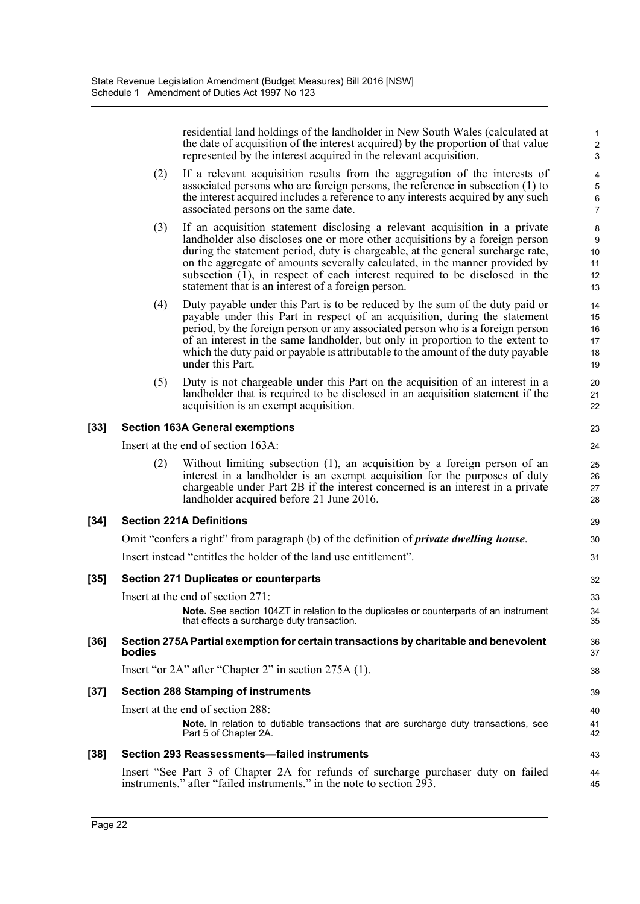residential land holdings of the landholder in New South Wales (calculated at the date of acquisition of the interest acquired) by the proportion of that value represented by the interest acquired in the relevant acquisition.

29 30 31

36 37 38

43 44 45

- (2) If a relevant acquisition results from the aggregation of the interests of associated persons who are foreign persons, the reference in subsection (1) to the interest acquired includes a reference to any interests acquired by any such associated persons on the same date.
- (3) If an acquisition statement disclosing a relevant acquisition in a private landholder also discloses one or more other acquisitions by a foreign person during the statement period, duty is chargeable, at the general surcharge rate, on the aggregate of amounts severally calculated, in the manner provided by subsection  $(1)$ , in respect of each interest required to be disclosed in the statement that is an interest of a foreign person.
- (4) Duty payable under this Part is to be reduced by the sum of the duty paid or payable under this Part in respect of an acquisition, during the statement period, by the foreign person or any associated person who is a foreign person of an interest in the same landholder, but only in proportion to the extent to which the duty paid or payable is attributable to the amount of the duty payable under this Part.
- (5) Duty is not chargeable under this Part on the acquisition of an interest in a landholder that is required to be disclosed in an acquisition statement if the acquisition is an exempt acquisition.

### **[33] Section 163A General exemptions**

Insert at the end of section 163A:

(2) Without limiting subsection (1), an acquisition by a foreign person of an interest in a landholder is an exempt acquisition for the purposes of duty chargeable under Part 2B if the interest concerned is an interest in a private landholder acquired before 21 June 2016.

### **[34] Section 221A Definitions**

Omit "confers a right" from paragraph (b) of the definition of *private dwelling house*.

Insert instead "entitles the holder of the land use entitlement".

### **[35] Section 271 Duplicates or counterparts**

Insert at the end of section 271:

**Note.** See section 104ZT in relation to the duplicates or counterparts of an instrument that effects a surcharge duty transaction.

### **[36] Section 275A Partial exemption for certain transactions by charitable and benevolent bodies**

Insert "or 2A" after "Chapter 2" in section 275A (1).

### **[37] Section 288 Stamping of instruments**

Insert at the end of section 288:

**Note.** In relation to dutiable transactions that are surcharge duty transactions, see Part 5 of Chapter 2A.

### **[38] Section 293 Reassessments—failed instruments**

Insert "See Part 3 of Chapter 2A for refunds of surcharge purchaser duty on failed instruments." after "failed instruments." in the note to section 293.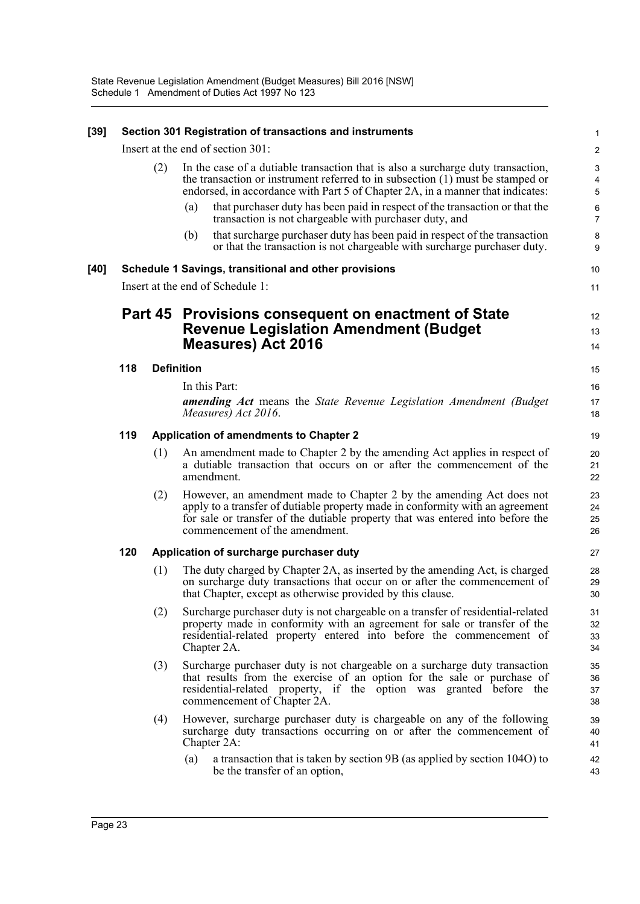| [39] |                                  |                   |     | Section 301 Registration of transactions and instruments                                                                                                                                                                                                                  | 1                     |  |  |
|------|----------------------------------|-------------------|-----|---------------------------------------------------------------------------------------------------------------------------------------------------------------------------------------------------------------------------------------------------------------------------|-----------------------|--|--|
|      |                                  |                   |     | Insert at the end of section 301:                                                                                                                                                                                                                                         | $\boldsymbol{2}$      |  |  |
|      |                                  | (2)               |     | In the case of a dutiable transaction that is also a surcharge duty transaction,<br>the transaction or instrument referred to in subsection $(1)$ must be stamped or<br>endorsed, in accordance with Part 5 of Chapter 2A, in a manner that indicates:                    | $\mathsf 3$<br>4<br>5 |  |  |
|      |                                  |                   | (a) | that purchaser duty has been paid in respect of the transaction or that the<br>transaction is not chargeable with purchaser duty, and                                                                                                                                     | 6<br>$\overline{7}$   |  |  |
|      |                                  |                   | (b) | that surcharge purchaser duty has been paid in respect of the transaction<br>or that the transaction is not chargeable with surcharge purchaser duty.                                                                                                                     | 8<br>9                |  |  |
| [40] |                                  |                   |     | Schedule 1 Savings, transitional and other provisions                                                                                                                                                                                                                     | 10                    |  |  |
|      | Insert at the end of Schedule 1: |                   |     |                                                                                                                                                                                                                                                                           |                       |  |  |
|      | Part 45                          |                   |     | Provisions consequent on enactment of State<br><b>Revenue Legislation Amendment (Budget</b><br><b>Measures) Act 2016</b>                                                                                                                                                  | 12<br>13<br>14        |  |  |
|      | 118                              | <b>Definition</b> |     |                                                                                                                                                                                                                                                                           | 15                    |  |  |
|      |                                  |                   |     | In this Part:                                                                                                                                                                                                                                                             | 16                    |  |  |
|      |                                  |                   |     | <b>amending Act</b> means the State Revenue Legislation Amendment (Budget)<br>Measures) Act 2016.                                                                                                                                                                         | 17<br>18              |  |  |
|      | 119                              |                   |     | <b>Application of amendments to Chapter 2</b>                                                                                                                                                                                                                             | 19                    |  |  |
|      |                                  | (1)               |     | An amendment made to Chapter 2 by the amending Act applies in respect of<br>a dutiable transaction that occurs on or after the commencement of the<br>amendment.                                                                                                          | 20<br>21<br>22        |  |  |
|      |                                  | (2)               |     | However, an amendment made to Chapter 2 by the amending Act does not<br>apply to a transfer of dutiable property made in conformity with an agreement<br>for sale or transfer of the dutiable property that was entered into before the<br>commencement of the amendment. | 23<br>24<br>25<br>26  |  |  |
|      | 120                              |                   |     | Application of surcharge purchaser duty                                                                                                                                                                                                                                   | 27                    |  |  |
|      |                                  | (1)               |     | The duty charged by Chapter 2A, as inserted by the amending Act, is charged<br>on surcharge duty transactions that occur on or after the commencement of<br>that Chapter, except as otherwise provided by this clause.                                                    | 28<br>29<br>30        |  |  |
|      |                                  | (2)               |     | Surcharge purchaser duty is not chargeable on a transfer of residential-related<br>property made in conformity with an agreement for sale or transfer of the<br>residential-related property entered into before the commencement of<br>Chapter 2A.                       | 31<br>32<br>33<br>34  |  |  |
|      |                                  | (3)               |     | Surcharge purchaser duty is not chargeable on a surcharge duty transaction<br>that results from the exercise of an option for the sale or purchase of<br>residential-related property, if the option was granted before the<br>commencement of Chapter 2A.                | 35<br>36<br>37<br>38  |  |  |
|      |                                  | (4)               |     | However, surcharge purchaser duty is chargeable on any of the following<br>surcharge duty transactions occurring on or after the commencement of<br>Chapter 2A:                                                                                                           | 39<br>40<br>41        |  |  |
|      |                                  |                   | (a) | a transaction that is taken by section 9B (as applied by section 104O) to<br>be the transfer of an option,                                                                                                                                                                | 42<br>43              |  |  |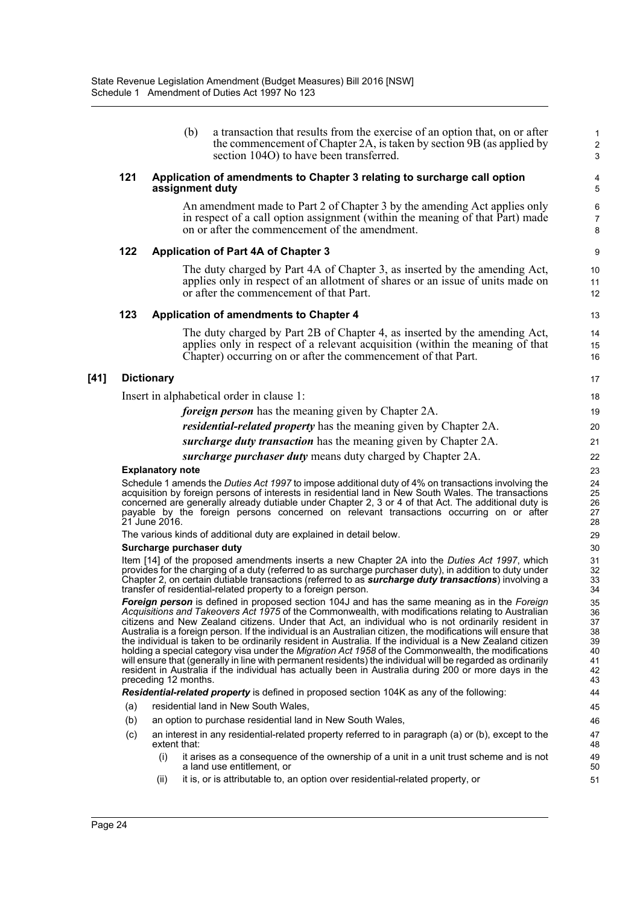|        |     | section 104O) to have been transferred.                                                                                                                                                                                                                                                                                                                                                                                                                                                                                                                                                                                                                                                                                                                                                                                                                                                                | 3                                                  |  |  |  |
|--------|-----|--------------------------------------------------------------------------------------------------------------------------------------------------------------------------------------------------------------------------------------------------------------------------------------------------------------------------------------------------------------------------------------------------------------------------------------------------------------------------------------------------------------------------------------------------------------------------------------------------------------------------------------------------------------------------------------------------------------------------------------------------------------------------------------------------------------------------------------------------------------------------------------------------------|----------------------------------------------------|--|--|--|
|        | 121 | Application of amendments to Chapter 3 relating to surcharge call option<br>assignment duty                                                                                                                                                                                                                                                                                                                                                                                                                                                                                                                                                                                                                                                                                                                                                                                                            | 4<br>$\overline{5}$                                |  |  |  |
|        |     | An amendment made to Part 2 of Chapter 3 by the amending Act applies only<br>in respect of a call option assignment (within the meaning of that Part) made<br>on or after the commencement of the amendment.                                                                                                                                                                                                                                                                                                                                                                                                                                                                                                                                                                                                                                                                                           | 6<br>$\overline{7}$<br>8                           |  |  |  |
|        | 122 | <b>Application of Part 4A of Chapter 3</b>                                                                                                                                                                                                                                                                                                                                                                                                                                                                                                                                                                                                                                                                                                                                                                                                                                                             | $\boldsymbol{9}$                                   |  |  |  |
|        |     | The duty charged by Part 4A of Chapter 3, as inserted by the amending Act,<br>applies only in respect of an allotment of shares or an issue of units made on<br>or after the commencement of that Part.                                                                                                                                                                                                                                                                                                                                                                                                                                                                                                                                                                                                                                                                                                | 10<br>11<br>12                                     |  |  |  |
|        | 123 | <b>Application of amendments to Chapter 4</b>                                                                                                                                                                                                                                                                                                                                                                                                                                                                                                                                                                                                                                                                                                                                                                                                                                                          | 13                                                 |  |  |  |
|        |     | The duty charged by Part 2B of Chapter 4, as inserted by the amending Act,<br>applies only in respect of a relevant acquisition (within the meaning of that<br>Chapter) occurring on or after the commencement of that Part.                                                                                                                                                                                                                                                                                                                                                                                                                                                                                                                                                                                                                                                                           | 14<br>15<br>16                                     |  |  |  |
| $[41]$ |     | <b>Dictionary</b>                                                                                                                                                                                                                                                                                                                                                                                                                                                                                                                                                                                                                                                                                                                                                                                                                                                                                      | 17                                                 |  |  |  |
|        |     | Insert in alphabetical order in clause 1:                                                                                                                                                                                                                                                                                                                                                                                                                                                                                                                                                                                                                                                                                                                                                                                                                                                              | 18                                                 |  |  |  |
|        |     | <i>foreign person</i> has the meaning given by Chapter 2A.                                                                                                                                                                                                                                                                                                                                                                                                                                                                                                                                                                                                                                                                                                                                                                                                                                             | 19                                                 |  |  |  |
|        |     | <i>residential-related property</i> has the meaning given by Chapter 2A.                                                                                                                                                                                                                                                                                                                                                                                                                                                                                                                                                                                                                                                                                                                                                                                                                               | 20                                                 |  |  |  |
|        |     | surcharge duty transaction has the meaning given by Chapter 2A.                                                                                                                                                                                                                                                                                                                                                                                                                                                                                                                                                                                                                                                                                                                                                                                                                                        | 21                                                 |  |  |  |
|        |     | surcharge purchaser duty means duty charged by Chapter 2A.                                                                                                                                                                                                                                                                                                                                                                                                                                                                                                                                                                                                                                                                                                                                                                                                                                             | 22                                                 |  |  |  |
|        |     | <b>Explanatory note</b>                                                                                                                                                                                                                                                                                                                                                                                                                                                                                                                                                                                                                                                                                                                                                                                                                                                                                | 23                                                 |  |  |  |
|        |     | Schedule 1 amends the Duties Act 1997 to impose additional duty of 4% on transactions involving the<br>acquisition by foreign persons of interests in residential land in New South Wales. The transactions<br>concerned are generally already dutiable under Chapter 2, 3 or 4 of that Act. The additional duty is<br>payable by the foreign persons concerned on relevant transactions occurring on or after<br>21 June 2016.                                                                                                                                                                                                                                                                                                                                                                                                                                                                        | 24<br>25<br>26<br>27<br>28                         |  |  |  |
|        |     | The various kinds of additional duty are explained in detail below.                                                                                                                                                                                                                                                                                                                                                                                                                                                                                                                                                                                                                                                                                                                                                                                                                                    | 29                                                 |  |  |  |
|        |     | Surcharge purchaser duty                                                                                                                                                                                                                                                                                                                                                                                                                                                                                                                                                                                                                                                                                                                                                                                                                                                                               | 30<br>31                                           |  |  |  |
|        |     | Item [14] of the proposed amendments inserts a new Chapter 2A into the Duties Act 1997, which<br>provides for the charging of a duty (referred to as surcharge purchaser duty), in addition to duty under<br>Chapter 2, on certain dutiable transactions (referred to as <b>surcharge duty transactions</b> ) involving a<br>transfer of residential-related property to a foreign person.                                                                                                                                                                                                                                                                                                                                                                                                                                                                                                             |                                                    |  |  |  |
|        |     | Foreign person is defined in proposed section 104J and has the same meaning as in the Foreign<br>Acquisitions and Takeovers Act 1975 of the Commonwealth, with modifications relating to Australian<br>citizens and New Zealand citizens. Under that Act, an individual who is not ordinarily resident in<br>Australia is a foreign person. If the individual is an Australian citizen, the modifications will ensure that<br>the individual is taken to be ordinarily resident in Australia. If the individual is a New Zealand citizen<br>holding a special category visa under the <i>Migration Act 1958</i> of the Commonwealth, the modifications<br>will ensure that (generally in line with permanent residents) the individual will be regarded as ordinarily<br>resident in Australia if the individual has actually been in Australia during 200 or more days in the<br>preceding 12 months. | 35<br>36<br>37<br>38<br>39<br>40<br>41<br>42<br>43 |  |  |  |
|        |     | Residential-related property is defined in proposed section 104K as any of the following:                                                                                                                                                                                                                                                                                                                                                                                                                                                                                                                                                                                                                                                                                                                                                                                                              | 44                                                 |  |  |  |
|        | (a) | residential land in New South Wales.                                                                                                                                                                                                                                                                                                                                                                                                                                                                                                                                                                                                                                                                                                                                                                                                                                                                   | 45<br>46                                           |  |  |  |
|        | (b) | an option to purchase residential land in New South Wales,                                                                                                                                                                                                                                                                                                                                                                                                                                                                                                                                                                                                                                                                                                                                                                                                                                             |                                                    |  |  |  |
|        | (c) | an interest in any residential-related property referred to in paragraph (a) or (b), except to the<br>extent that:                                                                                                                                                                                                                                                                                                                                                                                                                                                                                                                                                                                                                                                                                                                                                                                     | 47<br>48                                           |  |  |  |
|        |     | it arises as a consequence of the ownership of a unit in a unit trust scheme and is not<br>(i)<br>a land use entitlement, or                                                                                                                                                                                                                                                                                                                                                                                                                                                                                                                                                                                                                                                                                                                                                                           | 49<br>50                                           |  |  |  |
|        |     | it is, or is attributable to, an option over residential-related property, or<br>(ii)                                                                                                                                                                                                                                                                                                                                                                                                                                                                                                                                                                                                                                                                                                                                                                                                                  | 51                                                 |  |  |  |
|        |     |                                                                                                                                                                                                                                                                                                                                                                                                                                                                                                                                                                                                                                                                                                                                                                                                                                                                                                        |                                                    |  |  |  |

(b) a transaction that results from the exercise of an option that, on or after the commencement of Chapter 2A, is taken by section 9B (as applied by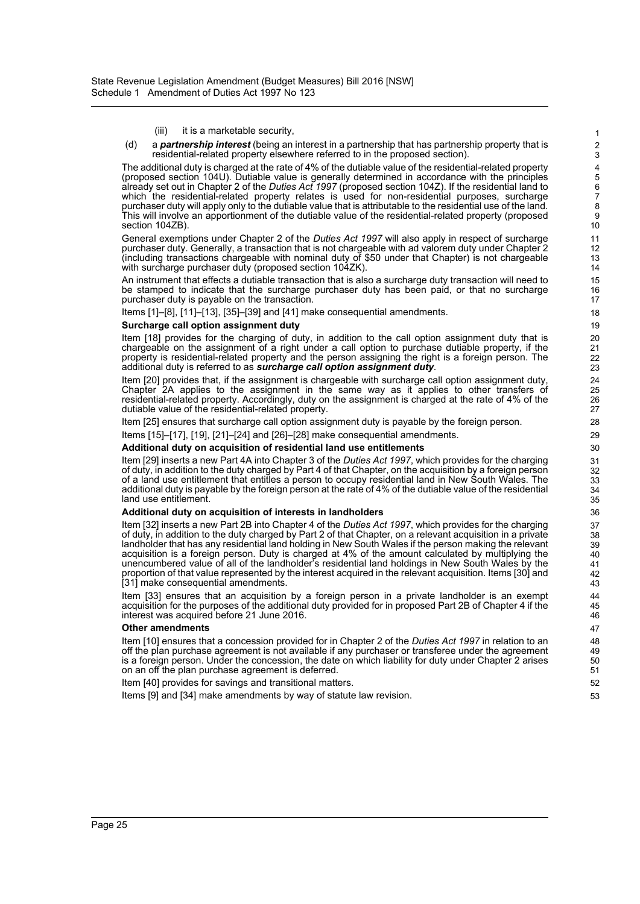#### (iii) it is a marketable security,

(d) a *partnership interest* (being an interest in a partnership that has partnership property that is residential-related property elsewhere referred to in the proposed section).

The additional duty is charged at the rate of 4% of the dutiable value of the residential-related property (proposed section 104U). Dutiable value is generally determined in accordance with the principles already set out in Chapter 2 of the *Duties Act 1997* (proposed section 104Z). If the residential land to which the residential-related property relates is used for non-residential purposes, surcharge purchaser duty will apply only to the dutiable value that is attributable to the residential use of the land. This will involve an apportionment of the dutiable value of the residential-related property (proposed section 104ZB).

General exemptions under Chapter 2 of the *Duties Act 1997* will also apply in respect of surcharge purchaser duty. Generally, a transaction that is not chargeable with ad valorem duty under Chapter 2 (including transactions chargeable with nominal duty of \$50 under that Chapter) is not chargeable with surcharge purchaser duty (proposed section 104ZK).

An instrument that effects a dutiable transaction that is also a surcharge duty transaction will need to be stamped to indicate that the surcharge purchaser duty has been paid, or that no surcharge purchaser duty is payable on the transaction.

Items [1]–[8], [11]–[13], [35]–[39] and [41] make consequential amendments.

#### **Surcharge call option assignment duty**

Item [18] provides for the charging of duty, in addition to the call option assignment duty that is chargeable on the assignment of a right under a call option to purchase dutiable property, if the property is residential-related property and the person assigning the right is a foreign person. The additional duty is referred to as *surcharge call option assignment duty*.

Item [20] provides that, if the assignment is chargeable with surcharge call option assignment duty, Chapter 2A applies to the assignment in the same way as it applies to other transfers of residential-related property. Accordingly, duty on the assignment is charged at the rate of 4% of the dutiable value of the residential-related property.

Item [25] ensures that surcharge call option assignment duty is payable by the foreign person.

Items [15]–[17], [19], [21]–[24] and [26]–[28] make consequential amendments.

#### **Additional duty on acquisition of residential land use entitlements**

Item [29] inserts a new Part 4A into Chapter 3 of the *Duties Act 1997*, which provides for the charging of duty, in addition to the duty charged by Part 4 of that Chapter, on the acquisition by a foreign person of a land use entitlement that entitles a person to occupy residential land in New South Wales. The additional duty is payable by the foreign person at the rate of 4% of the dutiable value of the residential land use entitlement.

#### **Additional duty on acquisition of interests in landholders**

Item [32] inserts a new Part 2B into Chapter 4 of the *Duties Act 1997*, which provides for the charging of duty, in addition to the duty charged by Part 2 of that Chapter, on a relevant acquisition in a private landholder that has any residential land holding in New South Wales if the person making the relevant acquisition is a foreign person. Duty is charged at 4% of the amount calculated by multiplying the unencumbered value of all of the landholder's residential land holdings in New South Wales by the proportion of that value represented by the interest acquired in the relevant acquisition. Items [30] and [31] make consequential amendments.

Item [33] ensures that an acquisition by a foreign person in a private landholder is an exempt acquisition for the purposes of the additional duty provided for in proposed Part 2B of Chapter 4 if the interest was acquired before 21 June 2016.

#### **Other amendments**

Item [10] ensures that a concession provided for in Chapter 2 of the *Duties Act 1997* in relation to an off the plan purchase agreement is not available if any purchaser or transferee under the agreement is a foreign person. Under the concession, the date on which liability for duty under Chapter 2 arises on an off the plan purchase agreement is deferred.

Item [40] provides for savings and transitional matters.

Items [9] and [34] make amendments by way of statute law revision.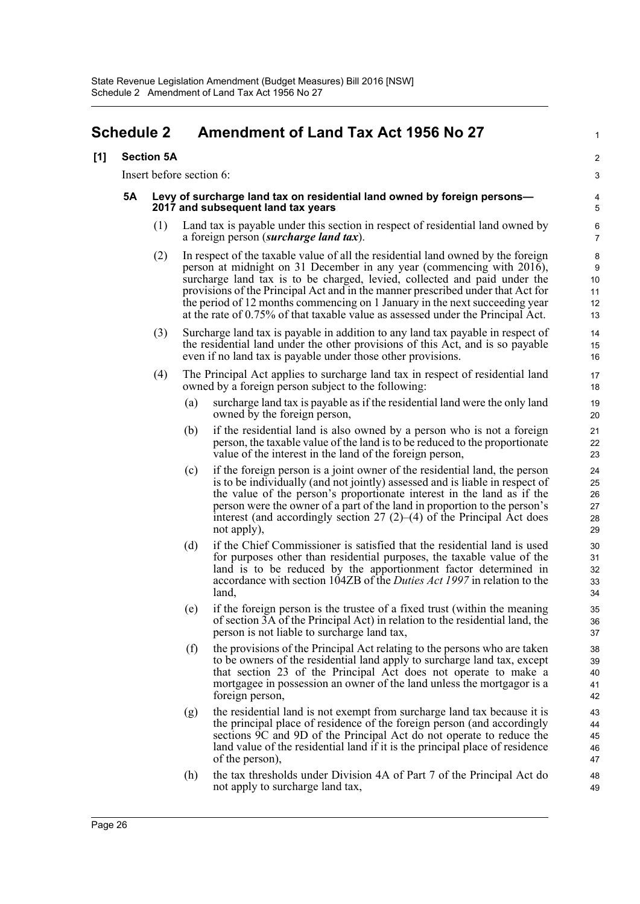## <span id="page-28-0"></span>**Schedule 2 Amendment of Land Tax Act 1956 No 27**

### **[1] Section 5A**

Insert before section 6:

#### **5A Levy of surcharge land tax on residential land owned by foreign persons— 2017 and subsequent land tax years**

(1) Land tax is payable under this section in respect of residential land owned by a foreign person (*surcharge land tax*).

1

 $\overline{2}$ 3

- (2) In respect of the taxable value of all the residential land owned by the foreign person at midnight on 31 December in any year (commencing with 2016), surcharge land tax is to be charged, levied, collected and paid under the provisions of the Principal Act and in the manner prescribed under that Act for the period of 12 months commencing on 1 January in the next succeeding year at the rate of 0.75% of that taxable value as assessed under the Principal Act.
- (3) Surcharge land tax is payable in addition to any land tax payable in respect of the residential land under the other provisions of this Act, and is so payable even if no land tax is payable under those other provisions.
- (4) The Principal Act applies to surcharge land tax in respect of residential land owned by a foreign person subject to the following:
	- (a) surcharge land tax is payable as if the residential land were the only land owned by the foreign person,
	- (b) if the residential land is also owned by a person who is not a foreign person, the taxable value of the land is to be reduced to the proportionate value of the interest in the land of the foreign person,
	- (c) if the foreign person is a joint owner of the residential land, the person is to be individually (and not jointly) assessed and is liable in respect of the value of the person's proportionate interest in the land as if the person were the owner of a part of the land in proportion to the person's interest (and accordingly section  $27(2)$ –(4) of the Principal Act does not apply),
	- (d) if the Chief Commissioner is satisfied that the residential land is used for purposes other than residential purposes, the taxable value of the land is to be reduced by the apportionment factor determined in accordance with section 104ZB of the *Duties Act 1997* in relation to the land,
	- (e) if the foreign person is the trustee of a fixed trust (within the meaning of section 3A of the Principal Act) in relation to the residential land, the person is not liable to surcharge land tax,
	- (f) the provisions of the Principal Act relating to the persons who are taken to be owners of the residential land apply to surcharge land tax, except that section 23 of the Principal Act does not operate to make a mortgagee in possession an owner of the land unless the mortgagor is a foreign person,
	- (g) the residential land is not exempt from surcharge land tax because it is the principal place of residence of the foreign person (and accordingly sections 9C and 9D of the Principal Act do not operate to reduce the land value of the residential land if it is the principal place of residence of the person),
	- (h) the tax thresholds under Division 4A of Part 7 of the Principal Act do not apply to surcharge land tax,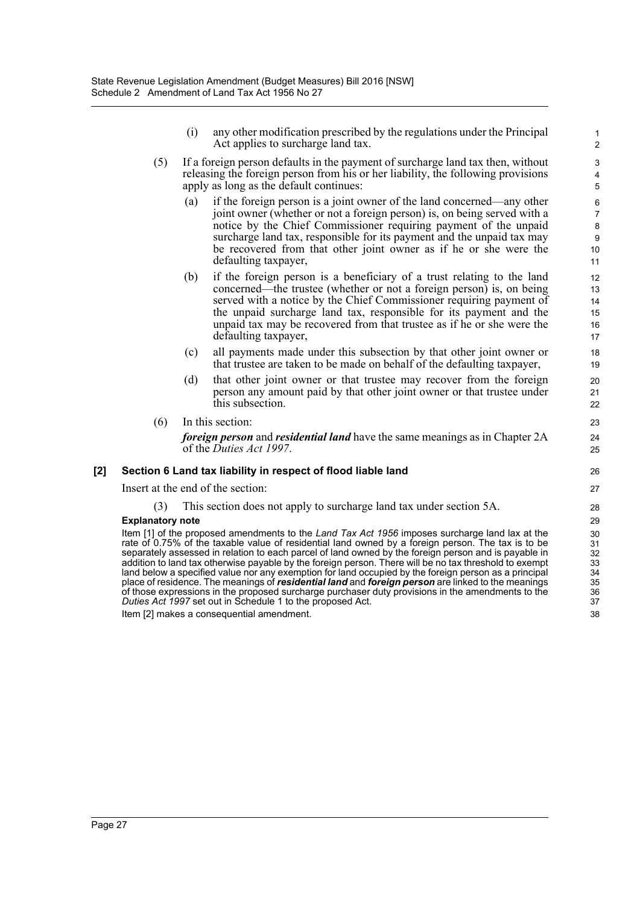- (i) any other modification prescribed by the regulations under the Principal Act applies to surcharge land tax.
- (5) If a foreign person defaults in the payment of surcharge land tax then, without releasing the foreign person from his or her liability, the following provisions apply as long as the default continues:
	- (a) if the foreign person is a joint owner of the land concerned—any other joint owner (whether or not a foreign person) is, on being served with a notice by the Chief Commissioner requiring payment of the unpaid surcharge land tax, responsible for its payment and the unpaid tax may be recovered from that other joint owner as if he or she were the defaulting taxpayer,
	- (b) if the foreign person is a beneficiary of a trust relating to the land concerned—the trustee (whether or not a foreign person) is, on being served with a notice by the Chief Commissioner requiring payment of the unpaid surcharge land tax, responsible for its payment and the unpaid tax may be recovered from that trustee as if he or she were the defaulting taxpayer,
	- (c) all payments made under this subsection by that other joint owner or that trustee are taken to be made on behalf of the defaulting taxpayer,
	- (d) that other joint owner or that trustee may recover from the foreign person any amount paid by that other joint owner or that trustee under this subsection.
- (6) In this section: *foreign person* and *residential land* have the same meanings as in Chapter 2A of the *Duties Act 1997*.

### **[2] Section 6 Land tax liability in respect of flood liable land**

Insert at the end of the section:

### (3) This section does not apply to surcharge land tax under section 5A.

#### **Explanatory note**

Item [1] of the proposed amendments to the *Land Tax Act 1956* imposes surcharge land lax at the rate of 0.75% of the taxable value of residential land owned by a foreign person. The tax is to be separately assessed in relation to each parcel of land owned by the foreign person and is payable in addition to land tax otherwise payable by the foreign person. There will be no tax threshold to exempt land below a specified value nor any exemption for land occupied by the foreign person as a principal place of residence. The meanings of *residential land* and *foreign person* are linked to the meanings of those expressions in the proposed surcharge purchaser duty provisions in the amendments to the *Duties Act 1997* set out in Schedule 1 to the proposed Act. Item [2] makes a consequential amendment.